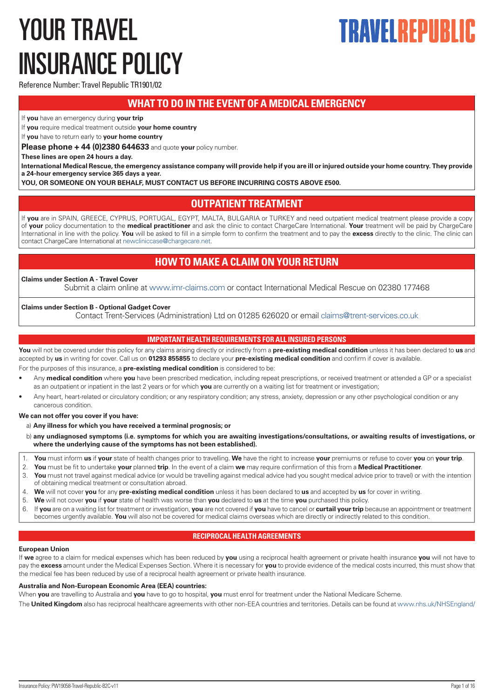# <span id="page-0-0"></span>YOUR TRAVEL INSURANCE POLICY

# TRAVEI REPIIRI

Reference Number: Travel Republic TR1901/02

# **WHAT TO DO IN THE EVENT OF A MEDICAL EMERGENCY**

If **you** have an emergency during **your trip**

If **you** require medical treatment outside **your home country**

If **you** have to return early to **your home country**

**Please phone + 44 (0)2380 644633** and quote **your** policy number.

**These lines are open 24 hours a day.** 

**International Medical Rescue, the emergency assistance company will provide help if you are ill or injured outside your home country. They provide a 24-hour emergency service 365 days a year.**

**YOU, OR SOMEONE ON YOUR BEHALF, MUST CONTACT US BEFORE INCURRING COSTS ABOVE £500.**

# **OUTPATIENT TREATMENT**

If **you** are in SPAIN, GREECE, CYPRUS, PORTUGAL, EGYPT, MALTA, BULGARIA or TURKEY and need outpatient medical treatment please provide a copy of **your** policy documentation to the **medical practitioner** and ask the clinic to contact ChargeCare International. **Your** treatment will be paid by ChargeCare International in line with the policy. **You** will be asked to fill in a simple form to confirm the treatment and to pay the **excess** directly to the clinic. The clinic can contact ChargeCare International at [newcliniccase@chargecare.net](mailto:newcliniccase@chargecare.net).

# **HOW TO MAKE A CLAIM ON YOUR RETURN**

## **Claims under Section A - Travel Cover**

Submit a claim online at [www.imr-claims.com](http://www.imr-claims.com) or contact International Medical Rescue on 02380 177468

## **Claims under Section B - Optional Gadget Cover**

Contact Trent-Services (Administration) Ltd on 01285 626020 or email [claims@trent-services.co.uk](mailto:claims@trent-services.co.uk)

## **IMPORTANT HEALTH REQUIREMENTS FOR ALL INSURED PERSONS**

**You** will not be covered under this policy for any claims arising directly or indirectly from a **pre-existing medical condition** unless it has been declared to **us** and accepted by **us** in writing for cover. Call us on **01293 855855** to declare your **pre-existing medical condition** and confirm if cover is available.

For the purposes of this insurance, a **pre-existing medical condition** is considered to be:

- Any **medical condition** where **you** have been prescribed medication, including repeat prescriptions, or received treatment or attended a GP or a specialist as an outpatient or inpatient in the last 2 years or for which **you** are currently on a waiting list for treatment or investigation;
- Any heart, heart-related or circulatory condition; or any respiratory condition; any stress, anxiety, depression or any other psychological condition or any cancerous condition.

## **We can not offer you cover if you have:**

- a) **Any illness for which you have received a terminal prognosis; or**
- b) **any undiagnosed symptoms (i.e. symptoms for which you are awaiting investigations/consultations, or awaiting results of investigations, or where the underlying cause of the symptoms has not been established).**
- 1. **You** must inform **us** if **your** state of health changes prior to travelling. **We** have the right to increase **your** premiums or refuse to cover **you** on **your trip**.
- 2. **You** must be fit to undertake **your** planned **trip**. In the event of a claim **we** may require confirmation of this from a **Medical Practitioner**.
- 3. **You** must not travel against medical advice (or would be travelling against medical advice had you sought medical advice prior to travel) or with the intention of obtaining medical treatment or consultation abroad.
- 4. **We** will not cover **you** for any **pre-existing medical condition** unless it has been declared to **us** and accepted by **us** for cover in writing.
- 5. **We** will not cover **you** if **your** state of health was worse than **you** declared to **us** at the time **you** purchased this policy.
- 6. If **you** are on a waiting list for treatment or investigation, **you** are not covered if **you** have to cancel or **curtail your trip** because an appointment or treatment becomes urgently available. **You** will also not be covered for medical claims overseas which are directly or indirectly related to this condition.

## **RECIPROCAL HEALTH AGREEMENTS**

## **European Union**

If **we** agree to a claim for medical expenses which has been reduced by **you** using a reciprocal health agreement or private health insurance **you** will not have to pay the **excess** amount under the Medical Expenses Section. Where it is necessary for **you** to provide evidence of the medical costs incurred, this must show that the medical fee has been reduced by use of a reciprocal health agreement or private health insurance.

## **Australia and Non-European Economic Area (EEA) countries:**

When **you** are travelling to Australia and **you** have to go to hospital, **you** must enrol for treatment under the National Medicare Scheme.

The **United Kingdom** also has reciprocal healthcare agreements with other non-EEA countries and territories. Details can be found at [www.nhs.uk/NHSEngland/](http://www.nhs.uk/NHSEngland/)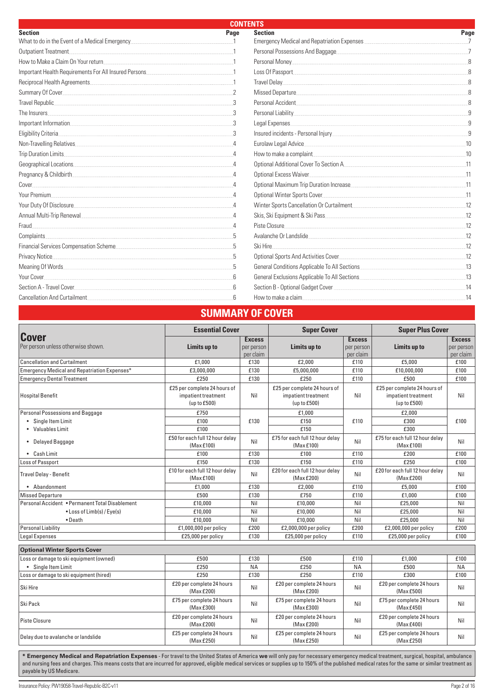| <b>CONTENTS</b>                                                                                                                                                                                                                      |            |                                               |      |  |
|--------------------------------------------------------------------------------------------------------------------------------------------------------------------------------------------------------------------------------------|------------|-----------------------------------------------|------|--|
| <b>Section</b>                                                                                                                                                                                                                       | Page       | <b>Section</b>                                | Page |  |
| What to do in the Event of a Medical Emergency                                                                                                                                                                                       |            |                                               |      |  |
| Outpatient Treatment                                                                                                                                                                                                                 |            | Personal Possessions And Baggage              |      |  |
| How to Make a Claim On Your return                                                                                                                                                                                                   |            | Personal Money                                |      |  |
| Important Health Requirements For All Insured Persons                                                                                                                                                                                |            | Loss Of Passport                              |      |  |
| Reciprocal Health Agreements                                                                                                                                                                                                         |            | Travel Delay                                  |      |  |
|                                                                                                                                                                                                                                      |            |                                               |      |  |
| Travel Republic. <u>And a series of the series of the series of the series of the series of the series of the series of the series of the series of the series of the series of the series of the series of the series of the se</u> |            | Personal Accident                             |      |  |
| The Insurers                                                                                                                                                                                                                         |            |                                               |      |  |
| Important Information                                                                                                                                                                                                                |            | Legal Expenses                                |      |  |
| Eligibility Criteria.                                                                                                                                                                                                                |            |                                               |      |  |
| Non-Travelling Relatives                                                                                                                                                                                                             |            | Eurolaw Legal Advice                          |      |  |
| Trip Duration Limits.                                                                                                                                                                                                                |            |                                               | 10   |  |
| Geographical Locations                                                                                                                                                                                                               |            | Optional Additional Cover To Section A        |      |  |
| Pregnancy & Childbirth                                                                                                                                                                                                               |            | Optional Excess Waiver                        |      |  |
| Cover                                                                                                                                                                                                                                |            | Optional Maximum Trip Duration Increase       |      |  |
| Your Premium                                                                                                                                                                                                                         |            | Optional Winter Sports Cover                  |      |  |
| Your Duty Of Disclosure                                                                                                                                                                                                              |            | Winter Sports Cancellation Or Curtailment     |      |  |
| Annual Multi-Trip Renewal                                                                                                                                                                                                            |            | Skis, Ski Equipment & Ski Pass                |      |  |
| Fraud.                                                                                                                                                                                                                               |            | Piste Closure                                 |      |  |
| Complaints.                                                                                                                                                                                                                          |            | Avalanche Or Landslide                        |      |  |
| Financial Services Compensation Scheme                                                                                                                                                                                               |            | Ski Hire                                      |      |  |
| Privacy Notice.                                                                                                                                                                                                                      | 5          |                                               | 12   |  |
| Meaning Of Words                                                                                                                                                                                                                     |            | General Conditions Applicable To All Sections | .13  |  |
| Your Cover                                                                                                                                                                                                                           |            | General Exclusions Applicable To All Sections |      |  |
| Section A - Travel Cover                                                                                                                                                                                                             | $\sqrt{6}$ |                                               | 14   |  |
| <b>Cancellation And Curtailment</b>                                                                                                                                                                                                  |            | How to make a claim                           |      |  |

# **SUMMARY OF COVER**

|                                                    | <b>Essential Cover</b>                                              |                                          | <b>Super Cover</b>                                                  |                                          | <b>Super Plus Cover</b>                                             |                                          |
|----------------------------------------------------|---------------------------------------------------------------------|------------------------------------------|---------------------------------------------------------------------|------------------------------------------|---------------------------------------------------------------------|------------------------------------------|
| <b>Cover</b><br>Per person unless otherwise shown. | Limits up to                                                        | <b>Excess</b><br>per person<br>per claim | Limits up to                                                        | <b>Excess</b><br>per person<br>per claim | Limits up to                                                        | <b>Excess</b><br>per person<br>per claim |
| <b>Cancellation and Curtailment</b>                | £1.000                                                              | £130                                     | £2.000                                                              | £110                                     | £5.000                                                              | £100                                     |
| Emergency Medical and Repatriation Expenses*       | £3.000.000                                                          | £130                                     | £5,000,000                                                          | £110                                     | £10,000,000                                                         | £100                                     |
| <b>Emergency Dental Treatment</b>                  | £250                                                                | £130                                     | £250                                                                | £110                                     | £500                                                                | £100                                     |
| <b>Hospital Benefit</b>                            | £25 per complete 24 hours of<br>impatient treatment<br>(up to £500) | Nil                                      | £25 per complete 24 hours of<br>impatient treatment<br>(up to £500) | Nil                                      | £25 per complete 24 hours of<br>impatient treatment<br>(up to £500) | Nil                                      |
| Personal Possessions and Baggage                   | £750                                                                |                                          | £1,000                                                              |                                          | £2,000                                                              |                                          |
| • Single Item Limit                                | £100                                                                | £130                                     | £150                                                                | £110                                     | £300                                                                | £100                                     |
| • Valuables Limit                                  | £100                                                                |                                          | £150                                                                |                                          | £300                                                                |                                          |
| • Delayed Baggage                                  | £50 for each full 12 hour delay<br>(Max £100)                       | Nil                                      | £75 for each full 12 hour delay<br>(Max£100)                        | Nil                                      | £75 for each full 12 hour delay<br>(Max £100)                       | Nil                                      |
| • Cash Limit                                       | £100                                                                | £130                                     | £100                                                                | £110                                     | £200                                                                | £100                                     |
| Loss of Passport                                   | £150                                                                | £130                                     | £150                                                                | £110                                     | £250                                                                | £100                                     |
| <b>Travel Delay - Benefit</b>                      | £10 for each full 12 hour delay<br>(Max £100)                       | Nil                                      | £20 for each full 12 hour delay<br>(MaxE200)                        | Nil                                      | £20 for each full 12 hour delay<br>(Max £200)                       | Nil                                      |
| • Abandonment                                      | £1.000                                                              | £130                                     | £2,000                                                              | £110                                     | £5.000                                                              | £100                                     |
| <b>Missed Departure</b>                            | £500                                                                | £130                                     | £750                                                                | £110                                     | £1.000                                                              | £100                                     |
| Personal Accident • Permanent Total Disablement    | £10,000                                                             | Nil                                      | £10,000                                                             | Nil                                      | £25.000                                                             | Nil                                      |
| • Loss of Limb(s) / Eye(s)                         | £10,000                                                             | Nil                                      | £10,000                                                             | Nil                                      | £25,000                                                             | Nil                                      |
| $\bullet$ Death                                    | £10,000                                                             | Nil                                      | £10,000                                                             | Nil                                      | £25.000                                                             | Nil                                      |
| <b>Personal Liability</b>                          | £1,000,000 per policy                                               | £200                                     | £2,000,000 per policy                                               | £200                                     | £2,000,000 per policy                                               | £200                                     |
| Legal Expenses                                     | £25,000 per policy                                                  | £130                                     | £25,000 per policy                                                  | £110                                     | £25,000 per policy                                                  | £100                                     |
| <b>Optional Winter Sports Cover</b>                |                                                                     |                                          |                                                                     |                                          |                                                                     |                                          |
| Loss or damage to ski equipment (owned)            | £500                                                                | £130                                     | £500                                                                | £110                                     | £1,000                                                              | £100                                     |
| • Single Item Limit                                | £250                                                                | <b>NA</b>                                | £250                                                                | <b>NA</b>                                | £500                                                                | <b>NA</b>                                |
| Loss or damage to ski equipment (hired)            | £250                                                                | £130                                     | £250                                                                | £110                                     | £300                                                                | £100                                     |
| Ski Hire                                           | £20 per complete 24 hours<br>(Max £200)                             | Nil                                      | £20 per complete 24 hours<br>(Max £200)                             | Nil                                      | £20 per complete 24 hours<br>(Max £500)                             | Nil                                      |
| Ski Pack                                           | £75 per complete 24 hours<br>(Max £300)                             | Nil                                      | £75 per complete 24 hours<br>(Max £300)                             | Nil                                      | £75 per complete 24 hours<br>(Max £450)                             | Nil                                      |
| <b>Piste Closure</b>                               | £20 per complete 24 hours<br>(Max £200)                             | Nil                                      | £20 per complete 24 hours<br>(MaxE200)                              | Nil                                      | £20 per complete 24 hours<br>(Max £400)                             | Nil                                      |
| Delay due to avalanche or landslide                | £25 per complete 24 hours<br>(Max £250)                             | Nil                                      | £25 per complete 24 hours<br>(MaxE250)                              | Nil                                      | £25 per complete 24 hours<br>(MaxE250)                              | Nil                                      |

**\* Emergency Medical and Repatriation Expenses** - For travel to the United States of America **we** will only pay for necessary emergency medical treatment, surgical, hospital, ambulance and nursing fees and charges. This means costs that are incurred for approved, eligible medical services or supplies up to 150% of the published medical rates for the same or similar treatment as payable by US Medicare.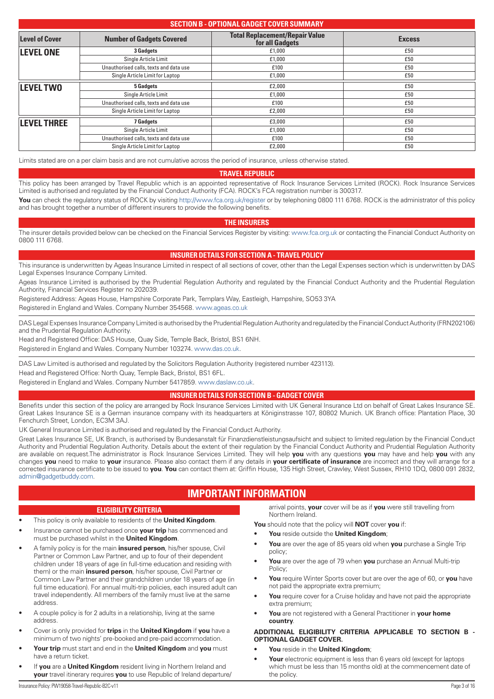## <span id="page-2-0"></span>**SECTION B - OPTIONAL GADGET COVER SUMMARY Level of Cover Number of Gadgets Covered Total Replacement/Repair Value**  For all Gadgets<br>  $f(t) = 1,000$ <br> **Excess**<br>  $f(t) = 1,000$ <br> **Excess LEVEL ONE** 3 Gadgets **2008 1000 1500 1500 1500** Single Article Limit **Example Article Limit**  $f(1,000)$  **Example Article Limit E50** Unauthorised calls, texts and data use  $\qquad \qquad$  £100  $\qquad \qquad$  £100  $\qquad \qquad$  £50  $\qquad \qquad$  £50  $\qquad \qquad$  £50  $\qquad \qquad$  £50  $\qquad \qquad$  £50  $\qquad \qquad$  £50  $\qquad \qquad$  £50  $\qquad \qquad$  £50  $\qquad \qquad$  £50  $\qquad \qquad$  £50  $\qquad \qquad$  £50  $\qquad \qquad$  £50 Single Article Limit for Laptop **E1,000** £1,000 £50 **LEVEL TWO** 5 Gadgets 5 Galuets **5 Gadgets 1999** Single Article Limit **Example 2 Example 2 Example 2 Example 2 Example 2 E50** Unauthorised calls, texts and data use **E100 E100 E100 E100 E100 E100 E100 E100 E100 E100 E100 E100 E100 E100 E100 E100 E100 E100 E100 E100 E100 E100 E100 E100 E100 E100** Single Article Limit for Laptop **EXECUTE:**  $\frac{2,000}{2}$  **EXECUTE:**  $\frac{2,000}{2}$  **EXECUTE:**  $\frac{250}{2}$ **LEVEL THREE** *TGadgets CO<sub>2</sub> ESQUEL THREE ESQUEL THREE <i>ESQUEL* **ESQUEL ESQUEL** Single Article Limit **Example Article Limit**  $f(0,00)$  **E50** Unauthorised calls, texts and data use **E100** £50 Single Article Limit for Laptop **EXALL 2000** £50

Limits stated are on a per claim basis and are not cumulative across the period of insurance, unless otherwise stated.

## **TRAVEL REPUBLIC**

This policy has been arranged by Travel Republic which is an appointed representative of Rock Insurance Services Limited (ROCK). Rock Insurance Services Limited is authorised and regulated by the Financial Conduct Authority (FCA). ROCK's FCA registration number is 300317.

You can check the regulatory status of ROCK by visiting <http://www.fca.org.uk/register> or by telephoning 0800 111 6768. ROCK is the administrator of this policy and has brought together a number of different insurers to provide the following benefits.

## **THE INSURERS**

The insurer details provided below can be checked on the Financial Services Register by visiting: [www.fca.org.uk](http://www.fca.org.uk) or contacting the Financial Conduct Authority on 0800 111 6768.

## **INSURER DETAILS FOR SECTION A - TRAVEL POLICY**

This insurance is underwritten by Ageas Insurance Limited in respect of all sections of cover, other than the Legal Expenses section which is underwritten by DAS Legal Expenses Insurance Company Limited.

Ageas Insurance Limited is authorised by the Prudential Regulation Authority and regulated by the Financial Conduct Authority and the Prudential Regulation Authority, Financial Services Register no 202039.

Registered Address: Ageas House, Hampshire Corporate Park, Templars Way, Eastleigh, Hampshire, SO53 3YA

Registered in England and Wales. Company Number 354568. [www.ageas.co.uk](http://www.ageas.co.uk)

DAS Legal Expenses Insurance Company Limited is authorised by the Prudential Regulation Authority and regulated by the Financial Conduct Authority (FRN202106) and the Prudential Regulation Authority.

Head and Registered Office: DAS House, Quay Side, Temple Back, Bristol, BS1 6NH.

Registered in England and Wales. Company Number 103274. [www.das.co.uk](http://www.das.co.uk).

DAS Law Limited is authorised and regulated by the Solicitors Regulation Authority (registered number 423113).

Head and Registered Office: North Quay, Temple Back, Bristol, BS1 6FL.

Registered in England and Wales. Company Number 5417859. [www.daslaw.co.uk](http://www.daslaw.co.uk).

## **INSURER DETAILS FOR SECTION B - GADGET COVER**

Benefits under this section of the policy are arranged by Rock Insurance Services Limited with UK General Insurance Ltd on behalf of Great Lakes Insurance SE. Great Lakes Insurance SE is a German insurance company with its headquarters at Königinstrasse 107, 80802 Munich. UK Branch office: Plantation Place, 30 Fenchurch Street, London, EC3M 3AJ.

UK General Insurance Limited is authorised and regulated by the Financial Conduct Authority.

Great Lakes Insurance SE, UK Branch, is authorised by Bundesanstalt für Finanzdienstleistungsaufsicht and subject to limited regulation by the Financial Conduct Authority and Prudential Regulation Authority. Details about the extent of their regulation by the Financial Conduct Authority and Prudential Regulation Authority are available on request.The administrator is Rock Insurance Services Limited. They will help **you** with any questions **you** may have and help **you** with any changes **you** need to make to **your** insurance. Please also contact them if any details in **your certificate of insurance** are incorrect and they will arrange for a corrected insurance certificate to be issued to **you**. **You** can contact them at: Griffin House, 135 High Street, Crawley, West Sussex, RH10 1DQ, 0800 091 2832, [admin@gadgetbuddy.com](mailto:admin@gadgetbuddy.com).

# **IMPORTANT INFORMATION**

## **ELIGIBILITY CRITERIA**

## • This policy is only available to residents of the **United Kingdom**.

- Insurance cannot be purchased once **your trip** has commenced and must be purchased whilst in the **United Kingdom**.
- A family policy is for the main **insured person**, his/her spouse, Civil Partner or Common Law Partner, and up to four of their dependent children under 18 years of age (in full-time education and residing with them) or the main **insured person**, his/her spouse, Civil Partner or Common Law Partner and their grandchildren under 18 years of age (in full time education). For annual multi-trip policies, each insured adult can travel independently. All members of the family must live at the same address.
- A couple policy is for 2 adults in a relationship, living at the same address.
- Cover is only provided for **trips** in the **United Kingdom** if **you** have a minimum of two nights' pre-booked and pre-paid accommodation.
- **Your trip** must start and end in the **United Kingdom** and **you** must have a return ticket.
- If **you** are a **United Kingdom** resident living in Northern Ireland and **your** travel itinerary requires **you** to use Republic of Ireland departure/

arrival points, **your** cover will be as if **you** were still travelling from Northern Ireland.

**You** should note that the policy will **NOT** cover **you** if:

- **You** reside outside the **United Kingdom**;
- **You** are over the age of 85 years old when **you** purchase a Single Trip policy;
- **You** are over the age of 79 when **you** purchase an Annual Multi-trip Policy;
- **You** require Winter Sports cover but are over the age of 60, or **you** have not paid the appropriate extra premium;
- **You** require cover for a Cruise holiday and have not paid the appropriate extra premium;
- **You** are not registered with a General Practitioner in **your home country**.

## **ADDITIONAL ELIGIBILITY CRITERIA APPLICABLE TO SECTION B - OPTIONAL GADGET COVER.**

- **You** reside in the **United Kingdom**;
- **Your** electronic equipment is less than 6 years old (except for laptops which must be less than 15 months old) at the commencement date of the policy.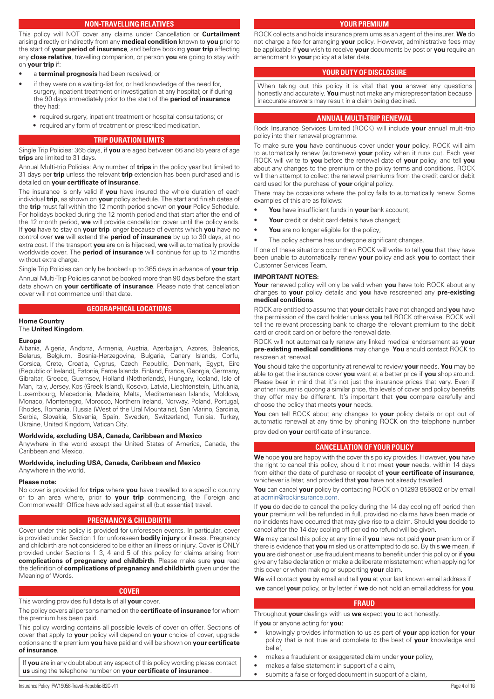## **NON-TRAVELLING RELATIVES**

<span id="page-3-0"></span>This policy will NOT cover any claims under Cancellation or **Curtailment** arising directly or indirectly from any **medical condition** known to **you** prior to the start of **your period of insurance**, and before booking **your trip** affecting any **close relative**, travelling companion, or person **you** are going to stay with on **your trip** if:

- a **terminal prognosis** had been received; or
- if they were on a waiting-list for, or had knowledge of the need for, surgery, inpatient treatment or investigation at any hospital; or if during the 90 days immediately prior to the start of the **period of insurance** they had:
	- required surgery, inpatient treatment or hospital consultations; or
	- required any form of treatment or prescribed medication.

## **TRIP DURATION LIMITS**

Single Trip Policies: 365 days, if **you** are aged between 66 and 85 years of age **trips** are limited to 31 days.

Annual Multi-trip Policies: Any number of **trips** in the policy year but limited to 31 days per **trip** unless the relevant **trip** extension has been purchased and is detailed on **your certificate of insurance**.

The insurance is only valid if **you** have insured the whole duration of each individual **trip**, as shown on **your** policy schedule. The start and finish dates of the **trip** must fall within the 12 month period shown on **your** Policy Schedule. For holidays booked during the 12 month period and that start after the end of the 12 month period, **we** will provide cancellation cover until the policy ends. If **you** have to stay on **your trip** longer because of events which **you** have no control over **we** will extend the **period of insurance** by up to 30 days, at no extra cost. If the transport **you** are on is hijacked, **we** will automatically provide worldwide cover. The **period of insurance** will continue for up to 12 months without extra charge.

Single Trip Policies can only be booked up to 365 days in advance of **your trip**. Annual Multi-Trip Policies cannot be booked more than 90 days before the start date shown on **your certificate of insurance**. Please note that cancellation cover will not commence until that date.

## **GEOGRAPHICAL LOCATIONS**

## **Home Country**

## The **United Kingdom**.

## **Europe**

Albania, Algeria, Andorra, Armenia, Austria, Azerbaijan, Azores, Balearics, Belarus, Belgium, Bosnia-Herzegovina, Bulgaria, Canary Islands, Corfu, Corsica, Crete, Croatia, Cyprus, Czech Republic, Denmark, Egypt, Eire (Republic of Ireland), Estonia, Faroe Islands, Finland, France, Georgia, Germany, Gibraltar, Greece, Guernsey, Holland (Netherlands), Hungary, Iceland, Isle of Man, Italy, Jersey, Kos (Greek Island), Kosovo, Latvia, Liechtenstein, Lithuania, Luxembourg, Macedonia, Madeira, Malta, Mediterranean Islands, Moldova, Monaco, Montenegro, Morocco, Northern Ireland, Norway, Poland, Portugal, Rhodes, Romania, Russia (West of the Ural Mountains), San Marino, Sardinia, Serbia, Slovakia, Slovenia, Spain, Sweden, Switzerland, Tunisia, Turkey, Ukraine, United Kingdom, Vatican City.

#### **Worldwide, excluding USA, Canada, Caribbean and Mexico**

Anywhere in the world except the United States of America, Canada, the Caribbean and Mexico.

## **Worldwide, including USA, Canada, Caribbean and Mexico**

Anywhere in the world.

#### **Please note:**

No cover is provided for **trips** where **you** have travelled to a specific country or to an area where, prior to **your trip** commencing, the Foreign and Commonwealth Office have advised against all (but essential) travel.

#### **PREGNANCY & CHILDBIRTH**

Cover under this policy is provided for unforeseen events. In particular, cover is provided under Section 1 for unforeseen **bodily injury** or illness. Pregnancy and childbirth are not considered to be either an illness or injury. Cover is ONLY provided under Sections 1 3, 4 and 5 of this policy for claims arising from **complications of pregnancy and childbirth**. Please make sure **you** read the definition of **complications of pregnancy and childbirth** given under the Meaning of Words.

#### **COVER**

This wording provides full details of all **your** cover.

The policy covers all persons named on the **certificate of insurance** for whom the premium has been paid.

This policy wording contains all possible levels of cover on offer. Sections of cover that apply to **your** policy will depend on **your** choice of cover, upgrade options and the premium **you** have paid and will be shown on **your certificate** 

## **of insurance**.

If **you** are in any doubt about any aspect of this policy wording please contact **us** using the telephone number on **your certificate of insurance** .

ROCK collects and holds insurance premiums as an agent of the insurer. **We** do not charge a fee for arranging **your** policy. However, administrative fees may be applicable if **you** wish to receive **your** documents by post or **you** require an amendment to **your** policy at a later date.

#### **YOUR DUTY OF DISCLOSURE**

When taking out this policy it is vital that **you** answer any questions honestly and accurately. **You** must not make any misrepresentation because inaccurate answers may result in a claim being declined.

## **ANNUAL MULTI-TRIP RENEWAL**

Rock Insurance Services Limited (ROCK) will include **your** annual multi-trip policy into their renewal programme.

To make sure **you** have continuous cover under **your** policy, ROCK will aim to automatically renew (autorenew) **your** policy when it runs out. Each year ROCK will write to **you** before the renewal date of **your** policy, and tell **you** about any changes to the premium or the policy terms and conditions. ROCK will then attempt to collect the renewal premiums from the credit card or debit card used for the purchase of **your** original policy.

There may be occasions where the policy fails to automatically renew. Some examples of this are as follows:

- **You** have insufficient funds in **your** bank account;
- **Your** credit or debit card details have changed:
- You are no longer eligible for the policy;
- The policy scheme has undergone significant changes.

If one of these situations occur then ROCK will write to tell **you** that they have been unable to automatically renew **your** policy and ask **you** to contact their Customer Services Team.

#### **IMPORTANT NOTES:**

**Your** renewed policy will only be valid when **you** have told ROCK about any changes to **your** policy details and **you** have rescreened any **pre-existing medical conditions**.

ROCK are entitled to assume that **your** details have not changed and **you** have the permission of the card holder unless **you** tell ROCK otherwise. ROCK will tell the relevant processing bank to charge the relevant premium to the debit card or credit card on or before the renewal date.

ROCK will not automatically renew any linked medical endorsement as **your pre-existing medical conditions** may change. **You** should contact ROCK to rescreen at renewal.

**You** should take the opportunity at renewal to review **your** needs. **You** may be able to get the insurance cover **you** want at a better price if **you** shop around. Please bear in mind that it's not just the insurance prices that vary. Even if another insurer is quoting a similar price, the levels of cover and policy benefits they offer may be different. It's important that **you** compare carefully and choose the policy that meets **your** needs.

**You** can tell ROCK about any changes to **your** policy details or opt out of automatic renewal at any time by phoning ROCK on the telephone number provided on **your** certificate of insurance.

**CANCELLATION OF YOUR POLICY**

**We** hope **you** are happy with the cover this policy provides. However, **you** have the right to cancel this policy, should it not meet **your** needs, within 14 days from either the date of purchase or receipt of **your certificate of insurance**, whichever is later, and provided that **you** have not already travelled.

**You** can cancel **your** policy by contacting ROCK on 01293 855802 or by email at [admin@rockinsurance.com](mailto:admin@rockinsurance.com).

If **you** do decide to cancel the policy during the 14 day cooling off period then **your** premium will be refunded in full, provided no claims have been made or no incidents have occurred that may give rise to a claim. Should **you** decide to cancel after the 14 day cooling off period no refund will be given.

**We** may cancel this policy at any time if **you** have not paid **your** premium or if there is evidence that **you** misled us or attempted to do so. By this **we** mean, if **you** are dishonest or use fraudulent means to benefit under this policy or if **you** give any false declaration or make a deliberate misstatement when applying for this cover or when making or supporting **your** claim.

**We** will contact **you** by email and tell **you** at your last known email address if **we** cancel **your** policy, or by letter if **we** do not hold an email address for **you**.

## **FRAUD**

Throughout **your** dealings with us **we** expect **you** to act honestly.

- If **you** or anyone acting for **you**:
- knowingly provides information to us as part of **your** application for **your** policy that is not true and complete to the best of **your** knowledge and belief,
- makes a fraudulent or exaggerated claim under **your** policy,
- makes a false statement in support of a claim,
- submits a false or forged document in support of a claim,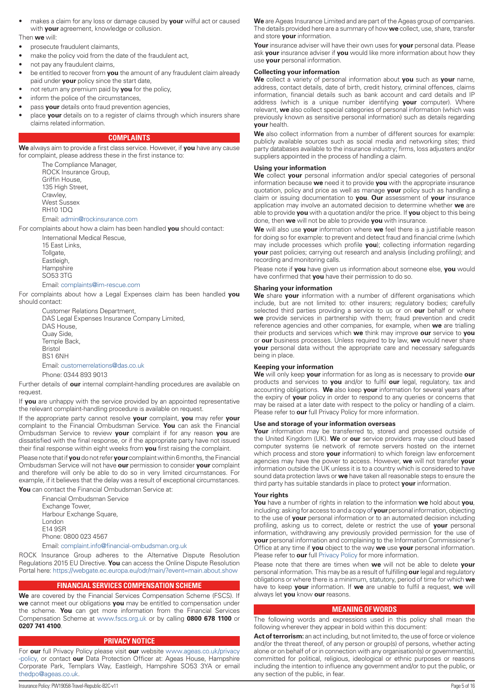<span id="page-4-0"></span>• makes a claim for any loss or damage caused by **your** wilful act or caused with **your** agreement, knowledge or collusion.

#### Then **we** will:

- prosecute fraudulent claimants,
- make the policy void from the date of the fraudulent act,
- not pay any fraudulent claims,
- be entitled to recover from **you** the amount of any fraudulent claim already paid under **your** policy since the start date,
- not return any premium paid by **you** for the policy,
- inform the police of the circumstances.
- pass **your** details onto fraud prevention agencies,
- place **your** details on to a register of claims through which insurers share claims related information.

## **COMPLAINTS**

**We** always aim to provide a first class service. However, if **you** have any cause for complaint, please address these in the first instance to:

> The Compliance Manager, ROCK Insurance Group, Griffin House, 135 High Street, Crawley, West Sussex RH10 1DQ

## Email: [admin@rockinsurance.com](mailto:admin@rockinsurance.com)

For complaints about how a claim has been handled **you** should contact:

International Medical Rescue, 15 East Links, Tollgate, Eastleigh, **Hampshire** SO53 3TG

#### Email: [complaints@im-rescue.com](mailto:complaints@im-rescue.com)

For complaints about how a Legal Expenses claim has been handled **you** should contact:

> Customer Relations Department, DAS Legal Expenses Insurance Company Limited, DAS House, Quay Side, Temple Back, Bristol BS1 6NH Email: [customerrelations@das.co.uk](mailto:customerrelations@das.co.uk)

Phone: 0344 893 9013

Further details of **our** internal complaint-handling procedures are available on request.

If **you** are unhappy with the service provided by an appointed representative the relevant complaint-handling procedure is available on request.

If the appropriate party cannot resolve **your** complaint, **you** may refer **your** complaint to the Financial Ombudsman Service. **You** can ask the Financial Ombudsman Service to review **your** complaint if for any reason **you** are dissatisfied with the final response, or if the appropriate party have not issued their final response within eight weeks from **you** first raising the complaint.

Please note that if **you** do not refer **your** complaint within 6 months, the Financial Ombudsman Service will not have **our** permission to consider **your** complaint and therefore will only be able to do so in very limited circumstances. For example, if it believes that the delay was a result of exceptional circumstances.

**You** can contact the Financial Ombudsman Service at:

Financial Ombudsman Service Exchange Tower, Harbour Exchange Square, London E14 9SR Phone: 0800 023 4567

Email: [complaint.info@financial-ombudsman.org.uk](mailto:complaint.info@financial-ombudsman.org.uk)

ROCK Insurance Group adheres to the Alternative Dispute Resolution Regulations 2015 EU Directive. **You** can access the Online Dispute Resolution Portal here: <https://webgate.ec.europa.eu/odr/main/?event=main.about.show>

## **FINANCIAL SERVICES COMPENSATION SCHEME**

**We** are covered by the Financial Services Compensation Scheme (FSCS). If **we** cannot meet our obligations **you** may be entitled to compensation under the scheme. **You** can get more information from the Financial Services Compensation Scheme at [www.fscs.org.uk](http://www.fscs.org.uk) or by calling **0800 678 1100** or **0207 741 4100**.

## **PRIVACY NOTICE**

For **our** full Privacy Policy please visit **our** website [www.ageas.co.uk/privacy](http://www.ageas.co.uk/privacy-policy) [-policy](http://www.ageas.co.uk/privacy-policy), or contact **our** Data Protection Officer at: Ageas House, Hampshire Corporate Park, Templars Way, Eastleigh, Hampshire SO53 3YA or email [thedpo@ageas.co.uk](mailto:thedpo@ageas.co.uk).

**We** are Ageas Insurance Limited and are part of the Ageas group of companies. The details provided here are a summary of how **we** collect, use, share, transfer and store **your** information.

**Your** insurance adviser will have their own uses for **your** personal data. Please ask **your** insurance adviser if **you** would like more information about how they use **your** personal information.

## **Collecting your information**

**We** collect a variety of personal information about **you** such as **your** name, address, contact details, date of birth, credit history, criminal offences, claims information, financial details such as bank account and card details and IP address (which is a unique number identifying **your** computer). Where relevant, **we** also collect special categories of personal information (which was previously known as sensitive personal information) such as details regarding **your** health.

**We** also collect information from a number of different sources for example: publicly available sources such as social media and networking sites; third party databases available to the insurance industry; firms, loss adjusters and/or suppliers appointed in the process of handling a claim.

#### **Using your information**

**We** collect **your** personal information and/or special categories of personal information because **we** need it to provide **you** with the appropriate insurance quotation, policy and price as well as manage **your** policy such as handling a claim or issuing documentation to **you**. **Our** assessment of **your** insurance application may involve an automated decision to determine whether **we** are able to provide **you** with a quotation and/or the price. If **you** object to this being done, then **we** will not be able to provide **you** with insurance.

**We** will also use **your** information where **we** feel there is a justifiable reason for doing so for example: to prevent and detect fraud and financial crime (which may include processes which profile **you**); collecting information regarding **your** past policies; carrying out research and analysis (including profiling); and recording and monitoring calls.

Please note if **you** have given us information about someone else, **you** would have confirmed that **you** have their permission to do so.

#### **Sharing your information**

**We** share **your** information with a number of different organisations which include, but are not limited to: other insurers; regulatory bodies; carefully selected third parties providing a service to us or on **our** behalf or where **we** provide services in partnership with them; fraud prevention and credit reference agencies and other companies, for example, when **we** are trialling their products and services which **we** think may improve **our** service to **you** or **our** business processes. Unless required to by law, **we** would never share **your** personal data without the appropriate care and necessary safeguards being in place.

## **Keeping your information**

**We** will only keep **your** information for as long as is necessary to provide **our** products and services to **you** and/or to fulfil **our** legal, regulatory, tax and accounting obligations. **We** also keep **your** information for several years after the expiry of **your** policy in order to respond to any queries or concerns that may be raised at a later date with respect to the policy or handling of a claim. Please refer to **our** full Privacy Policy for more information.

## **Use and storage of your information overseas**

**Your** information may be transferred to, stored and processed outside of the United Kingdom (UK). **We** or **our** service providers may use cloud based computer systems (ie network of remote servers hosted on the internet which process and store **your** information) to which foreign law enforcement agencies may have the power to access. However, **we** will not transfer **your** information outside the UK unless it is to a country which is considered to have sound data protection laws or **we** have taken all reasonable steps to ensure the third party has suitable standards in place to protect **your** information.

#### **Your rights**

**You** have a number of rights in relation to the information **we** hold about **you**, including: asking for access to and a copy of **your** personal information, objecting to the use of **your** personal information or to an automated decision including profiling, asking us to correct, delete or restrict the use of **your** personal information, withdrawing any previously provided permission for the use of **your** personal information and complaining to the Information Commissioner's Office at any time if **you** object to the way **we** use **your** personal information. Please refer to **our** full [Privacy Policy](https://www.ageas.co.uk/privacy-policies/customers-privacy-policy/) for more information.

Please note that there are times when **we** will not be able to delete **your** personal information. This may be as a result of fulfilling **our** legal and regulatory obligations or where there is a minimum, statutory, period of time for which **we** have to keep **your** information. If **we** are unable to fulfil a request, **we** will always let **you** know **our** reasons.

#### **MEANING OF WORDS**

The following words and expressions used in this policy shall mean the following wherever they appear in bold within this document:

Act of terrorism: an act including, but not limited to, the use of force or violence and/or the threat thereof, of any person or group(s) of persons, whether acting alone or on behalf of or in connection with any organisation(s) or government(s), committed for political, religious, ideological or ethnic purposes or reasons including the intention to influence any government and/or to put the public, or any section of the public, in fear.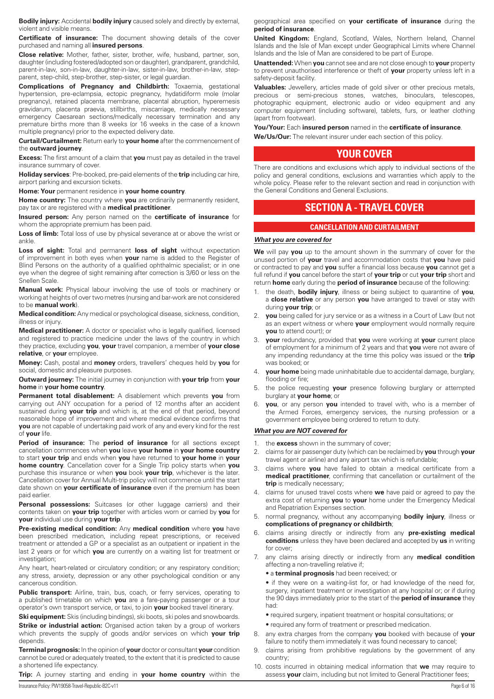<span id="page-5-0"></span>**Bodily injury:** Accidental **bodily injury** caused solely and directly by external, violent and visible means.

**Certificate of insurance:** The document showing details of the cover purchased and naming all **insured persons**.

**Close relative:** Mother, father, sister, brother, wife, husband, partner, son, daughter (including fostered/adopted son or daughter), grandparent, grandchild, parent-in-law, son-in-law, daughter-in-law, sister-in-law, brother-in-law, stepparent, step-child, step-brother, step-sister, or legal guardian.

**Complications of Pregnancy and Childbirth:** Toxaemia, gestational hypertension, pre-eclampsia, ectopic pregnancy, hydatidiform mole (molar pregnancy), retained placenta membrane, placental abruption, hyperemesis gravidarum, placenta praevia, stillbirths, miscarriage, medically necessary emergency Caesarean sections/medically necessary termination and any premature births more than 8 weeks (or 16 weeks in the case of a known multiple pregnancy) prior to the expected delivery date.

**Curtail/Curtailment:** Return early to **your home** after the commencement of the **outward journey**.

**Excess:** The first amount of a claim that **you** must pay as detailed in the travel insurance summary of cover.

**Holiday services**: Pre-booked, pre-paid elements of the **trip** including car hire, airport parking and excursion tickets.

**Home: Your** permanent residence in **your home country**.

**Home country:** The country where **you** are ordinarily permanently resident, pay tax or are registered with a **medical practitioner**.

**Insured person:** Any person named on the **certificate of insurance** for whom the appropriate premium has been paid.

Loss of limb: Total loss of use by physical severance at or above the wrist or ankle.

Loss of sight: Total and permanent loss of sight without expectation of improvement in both eyes when **your** name is added to the Register of Blind Persons on the authority of a qualified ophthalmic specialist; or in one eye when the degree of sight remaining after correction is 3/60 or less on the Snellen Scale.

**Manual work:** Physical labour involving the use of tools or machinery or working at heights of over two metres (nursing and bar-work are not considered to be **manual work**).

**Medical condition:** Any medical or psychological disease, sickness, condition, illness or injury.

**Medical practitioner:** A doctor or specialist who is legally qualified, licensed and registered to practice medicine under the laws of the country in which they practice, excluding **you**, **your** travel companion, a member of **your close relative**, or **your** employee.

**Money:** Cash, postal and **money** orders, travellers' cheques held by **you** for social, domestic and pleasure purposes.

**Outward journey:** The initial journey in conjunction with **your trip** from **your home** in **your home country**.

**Permanent total disablement:** A disablement which prevents **you** from carrying out ANY occupation for a period of 12 months after an accident sustained during **your trip** and which is, at the end of that period, beyond reasonable hope of improvement and where medical evidence confirms that **you** are not capable of undertaking paid work of any and every kind for the rest of **your** life.

**Period of insurance:** The **period of insurance** for all sections except cancellation commences when **you** leave **your home** in **your home country** to start **your trip** and ends when **you** have returned to **your home** in **your home country**. Cancellation cover for a Single Trip policy starts when **you** purchase this insurance or when **you** book **your trip**, whichever is the later. Cancellation cover for Annual Multi-trip policy will not commence until the start date shown on **your certificate of insurance** even if the premium has been paid earlier.

Personal possessions: Suitcases (or other luggage carriers) and their contents taken on **your trip** together with articles worn or carried by **you** for **your** individual use during **your trip**.

**Pre-existing medical condition:** Any **medical condition** where **you** have been prescribed medication, including repeat prescriptions, or received treatment or attended a GP or a specialist as an outpatient or inpatient in the last 2 years or for which **you** are currently on a waiting list for treatment or investigation:

Any heart, heart-related or circulatory condition; or any respiratory condition; any stress, anxiety, depression or any other psychological condition or any cancerous condition.

**Public transport:** Airline, train, bus, coach, or ferry services, operating to a published timetable on which **you** are a fare-paying passenger or a tour operator's own transport service, or taxi, to join **your** booked travel itinerary.

**Ski equipment:** Skis (including bindings), ski boots, ski poles and snowboards.

**Strike or industrial action:** Organised action taken by a group of workers which prevents the supply of goods and/or services on which **your trip** depends.

**Terminal prognosis:** In the opinion of **your** doctor or consultant **your** condition cannot be cured or adequately treated, to the extent that it is predicted to cause a shortened life expectancy.

**Trip:** A journey starting and ending in **your home country** within the

geographical area specified on **your certificate of insurance** during the **period of insurance**.

**United Kingdom:** England, Scotland, Wales, Northern Ireland, Channel Islands and the Isle of Man except under Geographical Limits where Channel Islands and the Isle of Man are considered to be part of Europe.

**Unattended:** When **you** cannot see and are not close enough to **your** property to prevent unauthorised interference or theft of **your** property unless left in a safety-deposit facility.

**Valuables:** Jewellery, articles made of gold silver or other precious metals, precious or semi-precious stones, watches, binoculars, telescopes, photographic equipment, electronic audio or video equipment and any computer equipment (including software), tablets, furs, or leather clothing (apart from footwear).

#### **You/Your:** Each **insured person** named in the **certificate of insurance**.

**We/Us/Our:** The relevant insurer under each section of this policy.

## **YOUR COVER**

There are conditions and exclusions which apply to individual sections of the policy and general conditions, exclusions and warranties which apply to the whole policy. Please refer to the relevant section and read in conjunction with the General Conditions and General Exclusions.

## **SECTION A - TRAVEL COVER**

## **CANCELLATION AND CURTAILMENT**

## *What you are covered for*

**We** will pay **you** up to the amount shown in the summary of cover for the unused portion of **your** travel and accommodation costs that **you** have paid or contracted to pay and **you** suffer a financial loss because **you** cannot get a full refund if **you** cancel before the start of **your trip** or cut **your trip** short and return **home** early during the **period of insurance** because of the following:

- 1. the death, **bodily injury**, illness or being subject to quarantine of **you**, a **close relative** or any person **you** have arranged to travel or stay with during **your trip**; or
- 2. **you** being called for jury service or as a witness in a Court of Law (but not as an expert witness or where **your** employment would normally require **you** to attend court); or
- 3. **your** redundancy, provided that **you** were working at **your** current place of employment for a minimum of 2 years and that **you** were not aware of any impending redundancy at the time this policy was issued or the **trip** was booked; or
- 4. **your home** being made uninhabitable due to accidental damage, burglary, flooding or fire;
- 5. the police requesting **your** presence following burglary or attempted burglary at **your home**; or
- **you**, or any person you intended to travel with, who is a member of the Armed Forces, emergency services, the nursing profession or a government employee being ordered to return to duty.

## *What you are NOT covered for*

- 1. the **excess** shown in the summary of cover;
- 2. claims for air passenger duty (which can be reclaimed by **you** through **your** travel agent or airline) and any airport tax which is refundable;
- 3. claims where **you** have failed to obtain a medical certificate from a **medical practitioner**, confirming that cancellation or curtailment of the **trip** is medically necessary;
- 4. claims for unused travel costs where **we** have paid or agreed to pay the extra cost of returning **you** to **your** home under the Emergency Medical and Repatriation Expenses section.
- 5. normal pregnancy, without any accompanying **bodily injury**, illness or **complications of pregnancy or childbirth**;
- 6. claims arising directly or indirectly from any **pre-existing medical conditions** unless they have been declared and accepted by **us** in writing for cover;
- 7. any claims arising directly or indirectly from any **medical condition** affecting a non-travelling relative if;
	- a **terminal prognosis** had been received; or

• if they were on a waiting-list for, or had knowledge of the need for, surgery, inpatient treatment or investigation at any hospital or; or if during the 90 days immediately prior to the start of the **period of insurance** they had:

- required surgery, inpatient treatment or hospital consultations; or
- required any form of treatment or prescribed medication.
- 8. any extra charges from the company **you** booked with because of **your**  failure to notify them immediately it was found necessary to cancel;
- 9. claims arising from prohibitive regulations by the government of any country;
- 10. costs incurred in obtaining medical information that **we** may require to assess **your** claim, including but not limited to General Practitioner fees;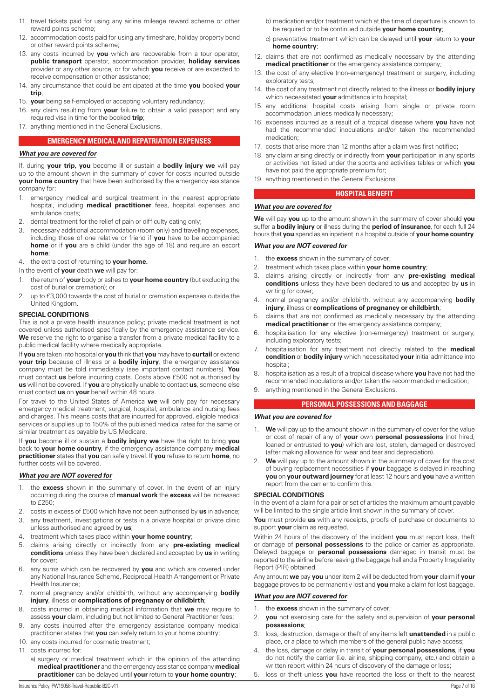- <span id="page-6-0"></span>11. travel tickets paid for using any airline mileage reward scheme or other reward points scheme;
- 12. accommodation costs paid for using any timeshare, holiday property bond or other reward points scheme;
- 13. any costs incurred by **you** which are recoverable from a tour operator, **public transport** operator, accommodation provider, **holiday services** provider or any other source, or for which **you** receive or are expected to receive compensation or other assistance;
- 14. any circumstance that could be anticipated at the time **you** booked **your trip**;
- 15. **your** being self-employed or accepting voluntary redundancy;
- 16. any claim resulting from **your** failure to obtain a valid passport and any required visa in time for the booked **trip**;
- 17. anything mentioned in the General Exclusions.

## **EMERGENCY MEDICAL AND REPATRIATION EXPENSES**

## *What you are covered for*

If, during **your trip, you** become ill or sustain a **bodily injury we** will pay up to the amount shown in the summary of cover for costs incurred outside **your home country** that have been authorised by the emergency assistance company for:

- 1. emergency medical and surgical treatment in the nearest appropriate hospital, including **medical practitioner** fees, hospital expenses and ambulance costs;
- 2. dental treatment for the relief of pain or difficulty eating only;
- 3. necessary additional accommodation (room only) and travelling expenses, including those of one relative or friend if **you** have to be accompanied **home** or if **you** are a child (under the age of 18) and require an escort **home**;
- 4. the extra cost of returning to **your home.**
- In the event of **your** death **we** will pay for:
- 1. the return of **your** body or ashes to **your home country** (but excluding the cost of burial or cremation); or
- 2. up to £3,000 towards the cost of burial or cremation expenses outside the United Kingdom.

## **SPECIAL CONDITIONS**

This is not a private health insurance policy; private medical treatment is not covered unless authorised specifically by the emergency assistance service. **We** reserve the right to organise a transfer from a private medical facility to a public medical facility where medically appropriate.

If **you** are taken into hospital or **you** think that **you** may have to **curtail** or extend **your trip** because of illness or a **bodily injury**, the emergency assistance company must be told immediately (see important contact numbers). **You** must contact **us** before incurring costs. Costs above £500 not authorised by **us** will not be covered. If **you** are physically unable to contact **us**, someone else must contact **us** on **your** behalf within 48 hours.

For travel to the United States of America **we** will only pay for necessary emergency medical treatment, surgical, hospital, ambulance and nursing fees and charges. This means costs that are incurred for approved, eligible medical services or supplies up to 150% of the published medical rates for the same or similar treatment as payable by US Medicare.

If **you** become ill or sustain a **bodily injury we** have the right to bring **you** back to **your home country**, if the emergency assistance company **medical practitioner** states that **you** can safely travel. If **you** refuse to return **home**, no further costs will be covered.

## *What you are NOT covered for*

- 1. the **excess** shown in the summary of cover. In the event of an injury occurring during the course of **manual work** the **excess** will be increased to £250;
- 2. costs in excess of £500 which have not been authorised by **us** in advance; 3. any treatment, investigations or tests in a private hospital or private clinic
- unless authorised and agreed by **us**;
- 4. treatment which takes place within **your home country**;
- 5. claims arising directly or indirectly from any **pre-existing medical conditions** unless they have been declared and accepted by **us** in writing for cover;
- 6. any sums which can be recovered by **you** and which are covered under any National Insurance Scheme, Reciprocal Health Arrangement or Private Health Insurance;
- 7. normal pregnancy and/or childbirth, without any accompanying **bodily injury**, illness or **complications of pregnancy or childbirth**;
- 8. costs incurred in obtaining medical information that **we** may require to assess **your** claim, including but not limited to General Practitioner fees;
- 9. any costs incurred after the emergency assistance company medical practitioner states that **you** can safely return to your home country;
- 10. any costs incurred for cosmetic treatment;
- 11. costs incurred for:
	- a) surgery or medical treatment which in the opinion of the attending **medical practitioner** and the emergency assistance company **medical practitioner** can be delayed until **your** return to **your home country**;
- b) medication and/or treatment which at the time of departure is known to be required or to be continued outside **your home country**;
- c) preventative treatment which can be delayed until **your** return to **your home country**;
- 12. claims that are not confirmed as medically necessary by the attending **medical practitioner** or the emergency assistance company;
- 13. the cost of any elective (non-emergency) treatment or surgery, including exploratory tests;
- 14. the cost of any treatment not directly related to the illness or **bodily injury**  which necessitated **your** admittance into hospital;
- 15. any additional hospital costs arising from single or private room accommodation unless medically necessary;
- 16. expenses incurred as a result of a tropical disease where **you** have not had the recommended inoculations and/or taken the recommended medication;
- 17. costs that arise more than 12 months after a claim was first notified;
- 18. any claim arising directly or indirectly from **your** participation in any sports or activities not listed under the sports and activities tables or which **you** have not paid the appropriate premium for;
- 19. anything mentioned in the General Exclusions.

## **HOSPITAL BENEFIT**

## *What you are covered for*

**We** will pay **you** up to the amount shown in the summary of cover should **you** suffer a **bodily injury** or illness during the **period of insurance**, for each full 24 hours that **you** spend as an inpatient in a hospital outside of **your home country**.

## *What you are NOT covered for*

- 1. the **excess** shown in the summary of cover;
- 2. treatment which takes place within **your home country**;
- 3. claims arising directly or indirectly from any **pre-existing medical conditions** unless they have been declared to **us** and accepted by **us** in writing for cover;
- 4. normal pregnancy and/or childbirth, without any accompanying **bodily injury**, illness or **complications of pregnancy or childbirth**;
- 5. claims that are not confirmed as medically necessary by the attending **medical practitioner** or the emergency assistance company;
- 6. hospitalisation for any elective (non-emergency) treatment or surgery, including exploratory tests;
- 7. hospitalisation for any treatment not directly related to the **medical condition** or **bodily injury** which necessitated **your** initial admittance into hospital<sup>-</sup>
- 8. hospitalisation as a result of a tropical disease where **you** have not had the recommended inoculations and/or taken the recommended medication;
- 9. anything mentioned in the General Exclusions.

## **PERSONAL POSSESSIONS AND BAGGAGE**

## *What you are covered for*

- 1. **We** will pay up to the amount shown in the summary of cover for the value or cost of repair of any of **your** own **personal possessions** (not hired, loaned or entrusted to **you**) which are lost, stolen, damaged or destroyed (after making allowance for wear and tear and depreciation).
- We will pay up to the amount shown in the summary of cover for the cost of buying replacement necessities if **your** baggage is delayed in reaching **you** on **your outward journey** for at least 12 hours and **you** have a written report from the carrier to confirm this.

## **SPECIAL CONDITIONS**

In the event of a claim for a pair or set of articles the maximum amount payable will be limited to the single article limit shown in the summary of cover.

**You** must provide **us** with any receipts, proofs of purchase or documents to support **your** claim as requested.

Within 24 hours of the discovery of the incident **you** must report loss, theft or damage of **personal possessions** to the police or carrier as appropriate. Delayed baggage or **personal possessions** damaged in transit must be reported to the airline before leaving the baggage hall and a Property Irregularity Report (PIR) obtained.

Any amount **we** pay **you** under item 2 will be deducted from **your** claim if **your** baggage proves to be permanently lost and **you** make a claim for lost baggage.

## *What you are NOT covered for*

- 1. the **excess** shown in the summary of cover;
- 2. **you** not exercising care for the safety and supervision of **your personal possessions**;
- 3. loss, destruction, damage or theft of any items left **unattended** in a public place, or a place to which members of the general public have access;
- 4. the loss, damage or delay in transit of **your personal possessions**, if **you** do not notify the carrier (i.e. airline, shipping company, etc.) and obtain a written report within 24 hours of discovery of the damage or loss;
- 5. loss or theft unless **you** have reported the loss or theft to the nearest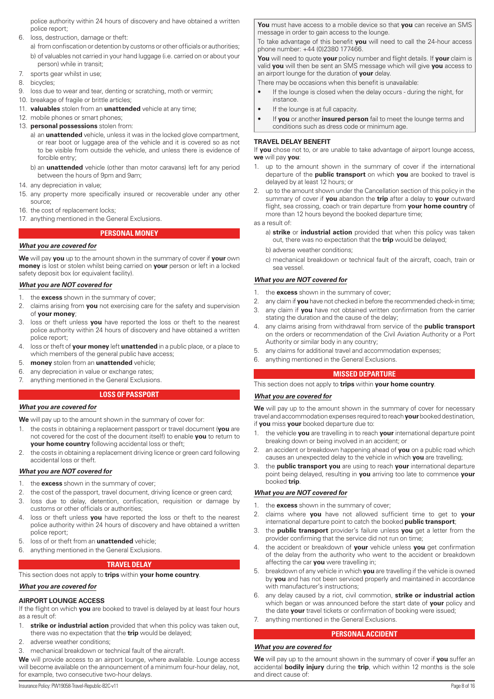<span id="page-7-0"></span>police authority within 24 hours of discovery and have obtained a written police report;

6. loss, destruction, damage or theft:

a) from confiscation or detention by customs or other officials or authorities; b) of valuables not carried in your hand luggage (i.e. carried on or about your person) while in transit;

- 7. sports gear whilst in use;
- 8. bicycles;
- 9. loss due to wear and tear, denting or scratching, moth or vermin;
- 10. breakage of fragile or brittle articles:
- 11. **valuables** stolen from an **unattended** vehicle at any time;
- 12. mobile phones or smart phones;
- 13. **personal possessions** stolen from:
	- a) an **unattended** vehicle, unless it was in the locked glove compartment, or rear boot or luggage area of the vehicle and it is covered so as not to be visible from outside the vehicle, and unless there is evidence of forcible entry;
	- b) an **unattended** vehicle (other than motor caravans) left for any period between the hours of 9pm and 9am;
- 14. any depreciation in value;
- 15. any property more specifically insured or recoverable under any other source;
- 16. the cost of replacement locks;
- 17. anything mentioned in the General Exclusions.

**PERSONAL MONEY**

## *What you are covered for*

**We** will pay **you** up to the amount shown in the summary of cover if **your** own **money** is lost or stolen whilst being carried on **your** person or left in a locked safety deposit box (or equivalent facility).

## *What you are NOT covered for*

- the **excess** shown in the summary of cover;
- 2. claims arising from **you** not exercising care for the safety and supervision of **your money**;
- 3. loss or theft unless **you** have reported the loss or theft to the nearest police authority within 24 hours of discovery and have obtained a written police report;
- 4. loss or theft of **your money** left **unattended** in a public place, or a place to which members of the general public have access;
- 5. **money** stolen from an **unattended** vehicle;
- 6. any depreciation in value or exchange rates;
- 7. anything mentioned in the General Exclusions.

## **LOSS OF PASSPORT**

## *What you are covered for*

**We** will pay up to the amount shown in the summary of cover for:

- 1. the costs in obtaining a replacement passport or travel document (**you** are not covered for the cost of the document itself) to enable **you** to return to **your home country** following accidental loss or theft;
- 2. the costs in obtaining a replacement driving licence or green card following accidental loss or theft.

## *What you are NOT covered for*

- 1. the **excess** shown in the summary of cover;
- 2. the cost of the passport, travel document, driving licence or green card;
- 3. loss due to delay, detention, confiscation, requisition or damage by customs or other officials or authorities;
- 4. loss or theft unless **you** have reported the loss or theft to the nearest police authority within 24 hours of discovery and have obtained a written police report;
- 5. loss of or theft from an **unattended** vehicle;
- 6. anything mentioned in the General Exclusions.

## **TRAVEL DELAY**

This section does not apply to **trips** within **your home country**.

## *What you are covered for*

## **AIRPORT LOUNGE ACCESS**

If the flight on which **you** are booked to travel is delayed by at least four hours as a result of:

- 1. **strike or industrial action** provided that when this policy was taken out, there was no expectation that the **trip** would be delayed;
- 2. adverse weather conditions;
- 3. mechanical breakdown or technical fault of the aircraft.

We will provide access to an airport lounge, where available. Lounge access will become available on the announcement of a minimum four-hour delay, not, for example, two consecutive two-hour delays.

**You** must have access to a mobile device so that **you** can receive an SMS message in order to gain access to the lounge.

To take advantage of this benefit **you** will need to call the 24-hour access phone number: +44 (0)2380 177466.

**You** will need to quote **your** policy number and flight details. If **your** claim is valid **you** will then be sent an SMS message which will give **you** access to an airport lounge for the duration of **your** delay.

There may be occasions when this benefit is unavailable:

- If the lounge is closed when the delay occurs during the night, for instance.
- If the lounge is at full capacity.
- If **you** or another **insured person** fail to meet the lounge terms and conditions such as dress code or minimum age.

## **TRAVEL DELAY BENEFIT**

If **you** chose not to, or are unable to take advantage of airport lounge access, **we** will pay **you**:

- 1. up to the amount shown in the summary of cover if the international departure of the **public transport** on which **you** are booked to travel is delayed by at least 12 hours; or
- 2. up to the amount shown under the Cancellation section of this policy in the summary of cover if **you** abandon the **trip** after a delay to **your** outward flight, sea crossing, coach or train departure from **your home country** of more than 12 hours beyond the booked departure time;

#### as a result of:

- a) **strike** or **industrial action** provided that when this policy was taken out, there was no expectation that the **trip** would be delayed;
- b) adverse weather conditions;
- c) mechanical breakdown or technical fault of the aircraft, coach, train or sea vessel.

## *What you are NOT covered for*

- 1. the **excess** shown in the summary of cover;
- 2. any claim if **you** have not checked in before the recommended check-in time;
- 3. any claim if **you** have not obtained written confirmation from the carrier stating the duration and the cause of the delay;
- 4. any claims arising from withdrawal from service of the **public transport**  on the orders or recommendation of the Civil Aviation Authority or a Port Authority or similar body in any country;
- 5. any claims for additional travel and accommodation expenses;
- 6. anything mentioned in the General Exclusions.

## **MISSED DEPARTURE**

This section does not apply to **trips** within **your home country**.

## *What you are covered for*

We will pay up to the amount shown in the summary of cover for necessary travel and accommodation expenses required to reach **your** booked destination, if **you** miss **your** booked departure due to:

- 1. the vehicle **you** are travelling in to reach **your** international departure point breaking down or being involved in an accident; or
- 2. an accident or breakdown happening ahead of **you** on a public road which causes an unexpected delay to the vehicle in which **you** are travelling;
- 3. the **public transport you** are using to reach **your** international departure point being delayed, resulting in **you** arriving too late to commence **your** booked **trip**.

## *What you are NOT covered for*

- 1. the **excess** shown in the summary of cover;
- 2. claims where **you** have not allowed sufficient time to get to **your** international departure point to catch the booked **public transport**;
- 3. the **public transport** provider's failure unless **you** get a letter from the provider confirming that the service did not run on time;
- 4. the accident or breakdown of **your** vehicle unless **you** get confirmation of the delay from the authority who went to the accident or breakdown affecting the car **you** were travelling in;
- 5. breakdown of any vehicle in which **you** are travelling if the vehicle is owned by **you** and has not been serviced properly and maintained in accordance with manufacturer's instructions;
- 6. any delay caused by a riot, civil commotion, **strike or industrial action** which began or was announced before the start date of **your** policy and the date **your** travel tickets or confirmation of booking were issued;
- 7. anything mentioned in the General Exclusions.

## **PERSONAL ACCIDENT**

## *What you are covered for*

**We** will pay up to the amount shown in the summary of cover if **you** suffer an accidental **bodily injury** during the **trip**, which within 12 months is the sole and direct cause of: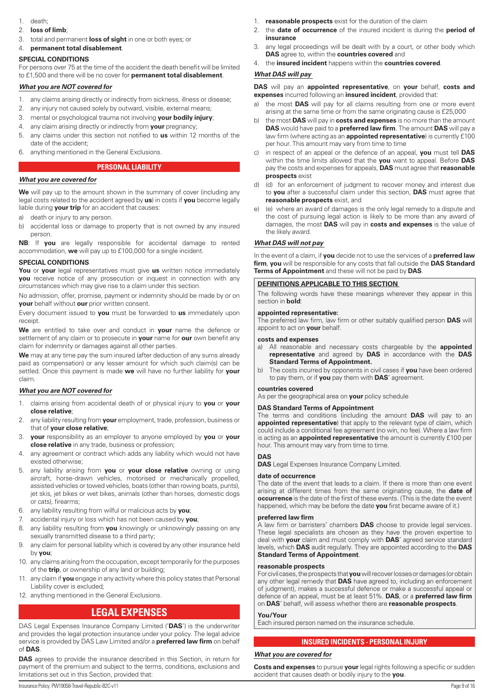- <span id="page-8-0"></span>1. death;
- 2. **loss of limb**;
- 3. total and permanent **loss of sight** in one or both eyes; or
- 4. **permanent total disablement**.

## **SPECIAL CONDITIONS**

For persons over 75 at the time of the accident the death benefit will be limited to £1,500 and there will be no cover for **permanent total disablement**.

## *What you are NOT covered for*

- 1. any claims arising directly or indirectly from sickness, illness or disease;
- 2. any injury not caused solely by outward, visible, external means;
- 3. mental or psychological trauma not involving **your bodily injury**;
- 4. any claim arising directly or indirectly from **your** pregnancy;
- 5. any claims under this section not notified to **us** within 12 months of the date of the accident;
- 6. anything mentioned in the General Exclusions.

## **PERSONAL LIABILITY**

## *What you are covered for*

**We** will pay up to the amount shown in the summary of cover (including any legal costs related to the accident agreed by **us**) in costs if **you** become legally liable during **your trip** for an accident that causes:

- a) death or injury to any person.
- b) accidental loss or damage to property that is not owned by any insured person.

**NB**: If **you** are legally responsible for accidental damage to rented accommodation, **we** will pay up to £100,000 for a single incident.

## **SPECIAL CONDITIONS**

**You** or **your** legal representatives must give **us** written notice immediately **you** receive notice of any prosecution or inquest in connection with any circumstances which may give rise to a claim under this section.

No admission, offer, promise, payment or indemnity should be made by or on **your** behalf without **our** prior written consent.

Every document issued to **you** must be forwarded to **us** immediately upon receipt.

**We** are entitled to take over and conduct in **your** name the defence or settlement of any claim or to prosecute in **your** name for **our** own benefit any claim for indemnity or damages against all other parties.

**We** may at any time pay the sum insured (after deduction of any sums already paid as compensation) or any lesser amount for which such claim(s) can be settled. Once this payment is made **we** will have no further liability for **your** claim.

## *What you are NOT covered for*

- 1. claims arising from accidental death of or physical injury to **you** or **your close relative**;
- 2. any liability resulting from **your** employment, trade, profession, business or that of **your close relative**;
- 3. **your** responsibility as an employer to anyone employed by **you** or **your close relative** in any trade, business or profession;
- 4. any agreement or contract which adds any liability which would not have existed otherwise;
- 5. any liability arising from **you** or **your close relative** owning or using aircraft, horse-drawn vehicles, motorised or mechanically propelled, assisted vehicles or towed vehicles, boats (other than rowing boats, punts), jet skis, jet bikes or wet bikes, animals (other than horses, domestic dogs or cats), firearms;
- 6. any liability resulting from wilful or malicious acts by **you**;
- 7. accidental injury or loss which has not been caused by **you**;
- 8. any liability resulting from **you** knowingly or unknowingly passing on any sexually transmitted disease to a third party;
- 9. any claim for personal liability which is covered by any other insurance held by **you**;
- 10. any claims arising from the occupation, except temporarily for the purposes of the **trip**, or ownership of any land or building;
- 11. any claim if **you** engage in any activity where this policy states that Personal Liability cover is excluded;
- 12. anything mentioned in the General Exclusions.

# **LEGAL EXPENSES**

DAS Legal Expenses Insurance Company Limited ('**DAS**') is the underwriter and provides the legal protection insurance under your policy. The legal advice service is provided by DAS Law Limited and/or a **preferred law firm** on behalf of **DAS**.

**DAS** agrees to provide the insurance described in this Section, in return for payment of the premium and subject to the terms, conditions, exclusions and limitations set out in this Section, provided that:

- 1. **reasonable prospects** exist for the duration of the claim
- 2. the **date of occurrence** of the insured incident is during the **period of insurance**
- 3. any legal proceedings will be dealt with by a court, or other body which **DAS** agree to, within the **countries covered** and
- 4. the **insured incident** happens within the **countries covered**.

## *What DAS will pay*

**DAS** will pay an **appointed representative**, on **your** behalf, **costs and expenses** incurred following an **insured incident**, provided that:

- a) the most **DAS** will pay for all claims resulting from one or more event arising at the same time or from the same originating cause is £25,000
- b) the most **DAS** will pay in **costs and expenses** is no more than the amount **DAS** would have paid to a **preferred law firm**. The amount **DAS** will pay a law firm (where acting as an **appointed representative**) is currently £100 per hour. This amount may vary from time to time
- c) in respect of an appeal or the defence of an appeal, **you** must tell **DAS** within the time limits allowed that the **you** want to appeal. Before **DAS** pay the costs and expenses for appeals, **DAS** must agree that **reasonable prospects** exist
- d) (d) for an enforcement of judgment to recover money and interest due to **you** after a successful claim under this section, **DAS** must agree that **reasonable prospects** exist, and
- e) (e) where an award of damages is the only legal remedy to a dispute and the cost of pursuing legal action is likely to be more than any award of damages, the most **DAS** will pay in **costs and expenses** is the value of the likely award.

## *What DAS will not pay*

In the event of a claim, if **you** decide not to use the services of a **preferred law firm**, **you** will be responsible for any costs that fall outside the **DAS Standard Terms of Appointment** and these will not be paid by **DAS**.

## **DEFINITIONS APPLICABLE TO THIS SECTION**

The following words have these meanings wherever they appear in this section in **bold**:

## **appointed representative:**

The preferred law firm, law firm or other suitably qualified person **DAS** will appoint to act on **your** behalf.

## **costs and expenses**

- a) All reasonable and necessary costs chargeable by the **appointed representative** and agreed by **DAS** in accordance with the **DAS Standard Terms of Appointment.**
- b) The costs incurred by opponents in civil cases if **you** have been ordered to pay them, or if **you** pay them with **DAS**' agreement.

## **countries covered**

As per the geographical area on **your** policy schedule

## **DAS Standard Terms of Appointment**

The terms and conditions (including the amount **DAS** will pay to an appointed representative) that apply to the relevant type of claim, which could include a conditional fee agreement (no win, no fee). Where a law firm is acting as an **appointed representative** the amount is currently £100 per hour. This amount may vary from time to time.

## **DAS**

**DAS** Legal Expenses Insurance Company Limited.

## **date of occurrence**

The date of the event that leads to a claim. If there is more than one event arising at different times from the same originating cause, the **date of occurrence** is the date of the first of these events. (This is the date the event happened, which may be before the date **you** first became aware of it.)

## **preferred law firm**

A law firm or barristers' chambers **DAS** choose to provide legal services. These legal specialists are chosen as they have the proven expertise to deal with **your** claim and must comply with **DAS**' agreed service standard levels, which **DAS** audit regularly. They are appointed according to the **DAS Standard Terms of Appointment**.

## **reasonable prospects**

For civil cases, the prospects that **you** will recover losses or damages (or obtain any other legal remedy that **DAS** have agreed to, including an enforcement of judgment), makes a successful defence or make a successful appeal or defence of an appeal, must be at least 51%. **DAS**, or a **preferred law firm** on **DAS**' behalf, will assess whether there are **reasonable prospects**.

## **You/Your**

Each insured person named on the insurance schedule.

## **INSURED INCIDENTS - PERSONAL INJURY**

## *What you are covered for*

**Costs and expenses** to pursue **your** legal rights following a specific or sudden accident that causes death or bodily injury to the **you**.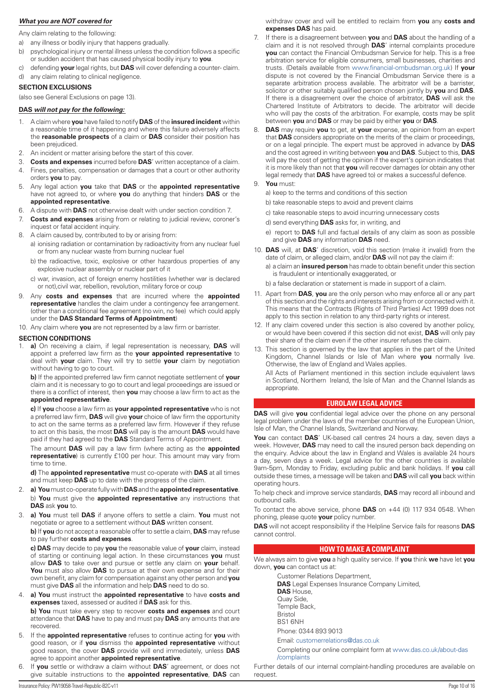## <span id="page-9-0"></span>*What you are NOT covered for*

Any claim relating to the following:

- a) any illness or bodily injury that happens gradually.
- b) psychological injury or mental illness unless the condition follows a specific or sudden accident that has caused physical bodily injury to **you**.
- c) defending **your** legal rights, but **DAS** will cover defending a counter- claim.
- d) any claim relating to clinical negligence.

## **SECTION EXCLUSIONS**

(also see General Exclusions on page 13).

## **DAS** *will not pay for the following:*

- 1. A claim where **you** have failed to notify **DAS** of the **insured incident** within a reasonable time of it happening and where this failure adversely affects the **reasonable prospects** of a claim or **DAS** consider their position has been prejudiced.
- 2. An incident or matter arising before the start of this cover.
- 3. **Costs and expenses** incurred before **DAS**' written acceptance of a claim.
- 4. Fines, penalties, compensation or damages that a court or other authority orders **you** to pay.
- 5. Any legal action **you** take that **DAS** or the **appointed representative** have not agreed to, or where **you** do anything that hinders **DAS** or the **appointed representative**.
- 6. A dispute with **DAS** not otherwise dealt with under section condition 7.
- 7. **Costs and expenses** arising from or relating to judicial review, coroner's inquest or fatal accident inquiry.
- 8. A claim caused by, contributed to by or arising from:
	- a) ionising radiation or contamination by radioactivity from any nuclear fuel or from any nuclear waste from burning nuclear fuel
	- b) the radioactive, toxic, explosive or other hazardous properties of any explosive nuclear assembly or nuclear part of it
	- c) war, invasion, act of foreign enemy hostilities (whether war is declared or not),civil war, rebellion, revolution, military force or coup
- 9. Any **costs and expenses** that are incurred where the **appointed representative** handles the claim under a contingency fee arrangement. (other than a conditional fee agreement (no win, no fee) which could apply under the **DAS Standard Terms of Appointment**)
- 10. Any claim where **you** are not represented by a law firm or barrister.

#### **SECTION CONDITIONS**

1. **a)** On receiving a claim, if legal representation is necessary, **DAS** will appoint a preferred law firm as the **your appointed representative** to deal with **your** claim. They will try to settle **your** claim by negotiation without having to go to court.

**b)** If the appointed preferred law firm cannot negotiate settlement of **your** claim and it is necessary to go to court and legal proceedings are issued or there is a conflict of interest, then **you** may choose a law firm to act as the **appointed representative**.

**c)** If **you** choose a law firm as **your appointed representative** who is not a preferred law firm, **DAS** will give **your** choice of law firm the opportunity to act on the same terms as a preferred law firm. However if they refuse to act on this basis, the most **DAS** will pay is the amount **DAS** would have paid if they had agreed to the **DAS** Standard Terms of Appointment.

The amount **DAS** will pay a law firm (where acting as the **appointed representative**) is currently £100 per hour. This amount may vary from time to time.

**d)** The **appointed representative** must co-operate with **DAS** at all times and must keep **DAS** up to date with the progress of the claim.

- 2. **a) You** must co-operate fully with **DAS** and the **appointed representative**. b) **You** must give the **appointed representative** any instructions that **DAS** ask **you** to.
- 3. **a) You** must tell **DAS** if anyone offers to settle a claim. **You** must not negotiate or agree to a settlement without **DAS** written consent.

**b)** If **you** do not accept a reasonable offer to settle a claim, **DAS** may refuse to pay further **costs and expenses**.

**c) DAS** may decide to pay **you** the reasonable value of **your** claim, instead of starting or continuing legal action. In these circumstances **you** must allow **DAS** to take over and pursue or settle any claim on **your** behalf. **You** must also allow **DAS** to pursue at their own expense and for their own benefit, any claim for compensation against any other person and **you** must give **DAS** all the information and help **DAS** need to do so.

4. **a) You** must instruct the **appointed representative** to have **costs and expenses** taxed, assessed or audited if **DAS** ask for this.

**b) You** must take every step to recover **costs and expenses** and court attendance that **DAS** have to pay and must pay **DAS** any amounts that are recovered.

- 5. If the **appointed representative** refuses to continue acting for **you** with good reason, or if **you** dismiss the **appointed representative** without good reason, the cover **DAS** provide will end immediately, unless **DAS** agree to appoint another **appointed representative**.
- 6. If **you** settle or withdraw a claim without **DAS**' agreement, or does not give suitable instructions to the **appointed representative**, **DAS** can

withdraw cover and will be entitled to reclaim from **you** any **costs and expenses DAS** has paid.

- 7. If there is a disagreement between **you** and **DAS** about the handling of a claim and it is not resolved through **DAS**' internal complaints procedure **you** can contact the Financial Ombudsman Service for help. This is a free arbitration service for eligible consumers, small businesses, charities and trusts. (Details available from [www.financial-ombudsman.org.uk](http://www.financial-ombudsman.org.uk)) If **your** dispute is not covered by the Financial Ombudsman Service there is a separate arbitration process available. The arbitrator will be a barrister, solicitor or other suitably qualified person chosen jointly by **you** and **DAS**. If there is a disagreement over the choice of arbitrator, **DAS** will ask the Chartered Institute of Arbitrators to decide. The arbitrator will decide who will pay the costs of the arbitration. For example, costs may be split between **you** and **DAS** or may be paid by either **you** or **DAS**.
- 8. **DAS** may require **you** to get, at **your** expense, an opinion from an expert that **DAS** considers appropriate on the merits of the claim or proceedings, or on a legal principle. The expert must be approved in advance by **DAS** and the cost agreed in writing between **you** and **DAS**. Subject to this, **DAS** will pay the cost of getting the opinion if the expert's opinion indicates that it is more likely than not that **you** will recover damages (or obtain any other legal remedy that **DAS** have agreed to) or makes a successful defence.
- 9. **You** must:
	- a) keep to the terms and conditions of this section
	- b) take reasonable steps to avoid and prevent claims
	- c) take reasonable steps to avoid incurring unnecessary costs
	- d) send everything **DAS** asks for, in writing, and
	- e) report to **DAS** full and factual details of any claim as soon as possible and give **DAS** any information **DAS** need.
- 10. **DAS** will, at **DAS**' discretion, void this section (make it invalid) from the date of claim, or alleged claim, and/or **DAS** will not pay the claim if:
	- a) a claim an **insured person** has made to obtain benefit under this section is fraudulent or intentionally exaggerated, or
	- b) a false declaration or statement is made in support of a claim.
- 11. Apart from **DAS**, **you** are the only person who may enforce all or any part of this section and the rights and interests arising from or connected with it. This means that the Contracts (Rights of Third Parties) Act 1999 does not apply to this section in relation to any third-party rights or interest.
- 12. If any claim covered under this section is also covered by another policy, or would have been covered if this section did not exist, **DAS** will only pay their share of the claim even if the other insurer refuses the claim.
- 13. This section is governed by the law that applies in the part of the United Kingdom, Channel Islands or Isle of Man where **you** normally live. Otherwise, the law of England and Wales applies.

All Acts of Parliament mentioned in this section include equivalent laws in Scotland, Northern Ireland, the Isle of Man and the Channel Islands as appropriate.

## **EUROLAW LEGAL ADVICE**

**DAS** will give **you** confidential legal advice over the phone on any personal legal problem under the laws of the member countries of the European Union, Isle of Man, the Channel Islands, Switzerland and Norway.

You can contact DAS' UK-based call centres 24 hours a day, seven days a week. However, **DAS** may need to call the insured person back depending on the enquiry. Advice about the law in England and Wales is available 24 hours a day, seven days a week. Legal advice for the other countries is available 9am-5pm, Monday to Friday, excluding public and bank holidays. If **you** call outside these times, a message will be taken and **DAS** will call **you** back within operating hours.

To help check and improve service standards, **DAS** may record all inbound and outbound calls.

To contact the above service, phone **DAS** on +44 (0) 117 934 0548. When phoning, please quote **your** policy number.

**DAS** will not accept responsibility if the Helpline Service fails for reasons **DAS** cannot control.

## **HOW TO MAKE A COMPLAINT**

We always aim to give **you** a high quality service. If **you** think **we** have let **you** down, **you** can contact us at:

Customer Relations Department,

**DAS** Legal Expenses Insurance Company Limited,

- **DAS** House,
- Quay Side,
- Temple Back,

Bristol BS1 6NH

Phone: 0344 893 9013

Email: [customerrelations@das.co.uk](mailto:customerrelations@das.co.uk)

Completing our online complaint form at [www.das.co.uk/about-das](http://www.das.co.uk/about-das/complaints) [/complaints](http://www.das.co.uk/about-das/complaints)

Further details of our internal complaint-handling procedures are available on request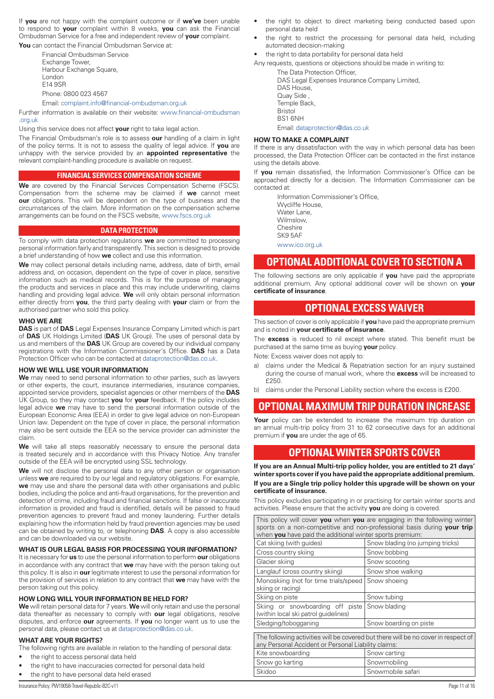<span id="page-10-0"></span>If **you** are not happy with the complaint outcome or if **we've** been unable to respond to **your** complaint within 8 weeks, **you** can ask the Financial Ombudsman Service for a free and independent review of **your** complaint.

You can contact the Financial Ombudsman Service at:

Financial Ombudsman Service Exchange Tower, Harbour Exchange Square, London E14 9SR Phone: 0800 023 4567

Email: [complaint.info@financial-ombudsman.org.uk](mailto:complaint.info@financial-ombudsman.org.uk)

Further information is available on their website: [www.financial-ombudsman](http://www.financial-ombudsman.org.uk)

[.org.uk](http://www.financial-ombudsman.org.uk)

Using this service does not affect **your** right to take legal action.

The Financial Ombudsman's role is to assess **our** handling of a claim in light of the policy terms. It is not to assess the quality of legal advice. If **you** are unhappy with the service provided by an **appointed representative** the relevant complaint-handling procedure is available on request.

## **FINANCIAL SERVICES COMPENSATION SCHEME**

**We** are covered by the Financial Services Compensation Scheme (FSCS). Compensation from the scheme may be claimed if **we** cannot meet **our** obligations. This will be dependent on the type of business and the circumstances of the claim. More information on the compensation scheme arrangements can be found on the FSCS website, [www.fscs.org.uk](http://www.fscs.org.uk)

## **DATA PROTECTION**

To comply with data protection regulations **we** are committed to processing personal information fairly and transparently. This section is designed to provide a brief understanding of how **we** collect and use this information.

**We** may collect personal details including name, address, date of birth, email address and, on occasion, dependent on the type of cover in place, sensitive information such as medical records. This is for the purpose of managing the products and services in place and this may include underwriting, claims handling and providing legal advice. **We** will only obtain personal information either directly from **you**, the third party dealing with **your** claim or from the authorised partner who sold this policy.

## **WHO WE ARE**

**DAS** is part of **DAS** Legal Expenses Insurance Company Limited which is part of **DAS** UK Holdings Limited (**DAS** UK Group). The uses of personal data by us and members of the **DAS** UK Group are covered by our individual company registrations with the Information Commissioner's Office. **DAS** has a Data Protection Officer who can be contacted at [dataprotection@das.co.uk](mailto:dataprotection@das.co.uk).

## **HOW WE WILL USE YOUR INFORMATION**

**We** may need to send personal information to other parties, such as lawyers or other experts, the court, insurance intermediaries, insurance companies, appointed service providers, specialist agencies or other members of the **DAS** UK Group, so they may contact **you** for **your** feedback. If the policy includes legal advice **we** may have to send the personal information outside of the European Economic Area (EEA) in order to give legal advice on non-European Union law. Dependent on the type of cover in place, the personal information may also be sent outside the EEA so the service provider can administer the claim.

We will take all steps reasonably necessary to ensure the personal data is treated securely and in accordance with this Privacy Notice. Any transfer outside of the EEA will be encrypted using SSL technology.

We will not disclose the personal data to any other person or organisation unless **we** are required to by our legal and regulatory obligations. For example, **we** may use and share the personal data with other organisations and public bodies, including the police and anti-fraud organisations, for the prevention and detection of crime, including fraud and financial sanctions. If false or inaccurate information is provided and fraud is identified, details will be passed to fraud prevention agencies to prevent fraud and money laundering. Further details explaining how the information held by fraud prevention agencies may be used can be obtained by writing to, or telephoning **DAS**. A copy is also accessible and can be downloaded via our website.

## **WHAT IS OUR LEGAL BASIS FOR PROCESSING YOUR INFORMATION?**

It is necessary for **us** to use the personal information to perform **our** obligations in accordance with any contract that **we** may have with the person taking out this policy. It is also in **our** legitimate interest to use the personal information for the provision of services in relation to any contract that **we** may have with the person taking out this policy.

## **HOW LONG WILL YOUR INFORMATION BE HELD FOR?**

**We** will retain personal data for 7 years. **We** will only retain and use the personal data thereafter as necessary to comply with **our** legal obligations, resolve disputes, and enforce **our** agreements. If **you** no longer want us to use the personal data, please contact us at [dataprotection@das.co.uk](mailto:dataprotection@das.co.uk).

## **WHAT ARE YOUR RIGHTS?**

The following rights are available in relation to the handling of personal data:

- the right to access personal data held
- the right to have inaccuracies corrected for personal data held
- the right to have personal data held erased
- the right to restrict the processing for personal data held, including automated decision-making
- the right to data portability for personal data held

Any requests, questions or objections should be made in writing to:

The Data Protection Officer, DAS Legal Expenses Insurance Company Limited, DAS House, Quay Side , Temple Back, Bristol BS1 6NH

Email: [dataprotection@das.co.uk](mailto:dataprotection@das.co.uk)

## **HOW TO MAKE A COMPLAINT**

If there is any dissatisfaction with the way in which personal data has been processed, the Data Protection Officer can be contacted in the first instance using the details above.

If **you** remain dissatisfied, the Information Commissioner's Office can be approached directly for a decision. The Information Commissioner can be contacted at:

> Information Commissioner's Office, Wycliffe House, Water Lane, Wilmslow, **Cheshire** SK9 5AF

[www.ico.org.uk](http://www.ico.org.uk)

## **OPTIONAL ADDITIONAL COVER TO SECTION A**

The following sections are only applicable if **you** have paid the appropriate additional premium. Any optional additional cover will be shown on **your certificate of insurance**.

## **OPTIONAL EXCESS WAIVER**

This section of cover is only applicable if **you** have paid the appropriate premium and is noted in **your certificate of insurance**.

The **excess** is reduced to nil except where stated. This benefit must be purchased at the same time as buying **your** policy.

Note: Excess waiver does not apply to:

- a) claims under the Medical & Repatriation section for an injury sustained during the course of manual work, where the **excess** will be increased to £250.
- b) claims under the Personal Liability section where the excess is £200.

# **OPTIONAL MAXIMUM TRIP DURATION INCREASE**

Your policy can be extended to increase the maximum trip duration on an annual multi-trip policy from 31 to 62 consecutive days for an additional premium if **you** are under the age of 65.

## **OPTIONAL WINTER SPORTS COVER**

**If you are an Annual Multi-trip policy holder, you are entitled to 21 days' winter sports cover if you have paid the appropriate additional premium. If you are a Single trip policy holder this upgrade will be shown on your certificate of insurance.**

This policy excludes participating in or practising for certain winter sports and activities. Please ensure that the activity **you** are doing is covered.

This policy will cover **you** when **you** are engaging in the following winter sports on a non-competitive and non-professional basis during **your trip** when **you** have paid the additional winter sports premium:

| Cat skiing (with quides)                                                                                                                 | Snow blading (no jumping tricks) |  |  |
|------------------------------------------------------------------------------------------------------------------------------------------|----------------------------------|--|--|
| Cross country skiing                                                                                                                     | Snow bobbing                     |  |  |
| Glacier skiing                                                                                                                           | Snow scooting                    |  |  |
| Langlauf (cross country skiing)                                                                                                          | Snow shoe walking                |  |  |
| Monoskiing (not for time trials/speed<br>skiing or racing)                                                                               | Snow shoeing                     |  |  |
| Skiing on piste                                                                                                                          | Snow tubing                      |  |  |
| Skiing or snowboarding off piste<br>(within local ski patrol quidelines)                                                                 | Snow blading                     |  |  |
| Sledging/tobogganing                                                                                                                     | Snow boarding on piste           |  |  |
| The following activities will be covered but there will be no cover in respect of<br>any Personal Accident or Personal Liability claims: |                                  |  |  |
| Kite snowboarding                                                                                                                        | Snow carting                     |  |  |
| Snow go karting                                                                                                                          | Snowmobiling                     |  |  |
| Skidoo                                                                                                                                   | Snowmobile safari                |  |  |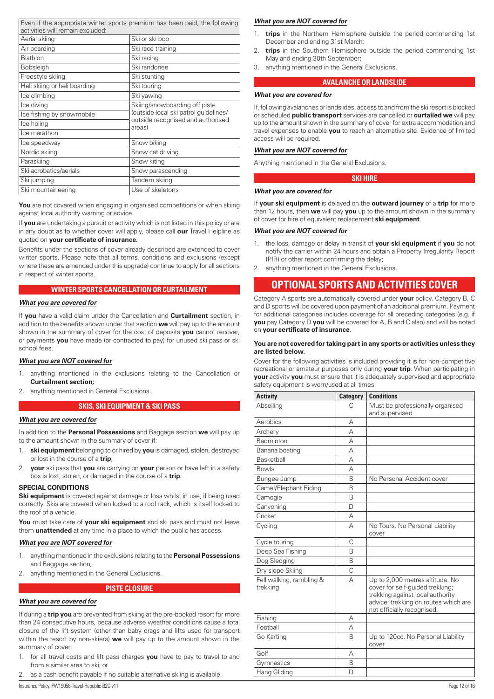<span id="page-11-0"></span>

| activities will remain excluded: | Even if the appropriate winter sports premium has been paid, the following |
|----------------------------------|----------------------------------------------------------------------------|
| Aerial skiing                    | Ski or ski bob                                                             |
| Air boarding                     | Ski race training                                                          |
| <b>Biathlon</b>                  | Ski racing                                                                 |
| <b>Bobsleigh</b>                 | Ski randonee                                                               |
| Freestyle skiing                 | Ski stunting                                                               |
| Heli skiing or heli boarding     | Ski touring                                                                |
| Ice climbing                     | Ski yawing                                                                 |
| Ice diving                       | Skiing/snowboarding off piste                                              |
| Ice fishing by snowmobile        | (outside local ski patrol quidelines/                                      |
| Ice holing                       | outside recognised and authorised<br>areas)                                |
| Ice marathon                     |                                                                            |
| Ice speedway                     | Snow biking                                                                |
| Nordic skiing                    | Snow cat driving                                                           |
| Paraskiing                       | Snow kiting                                                                |
| Ski acrobatics/aerials           | Snow parascending                                                          |
| Ski jumping                      | Tandem skiing                                                              |
| Ski mountaineering               | Use of skeletons                                                           |

You are not covered when engaging in organised competitions or when skiing against local authority warning or advice.

If **you** are undertaking a pursuit or activity which is not listed in this policy or are in any doubt as to whether cover will apply, please call **our** Travel Helpline as quoted on **your certificate of insurance.**

Benefits under the sections of cover already described are extended to cover winter sports. Please note that all terms, conditions and exclusions (except where these are amended under this upgrade) continue to apply for all sections in respect of winter sports.

## **WINTER SPORTS CANCELLATION OR CURTAILMENT**

## *What you are covered for*

If **you** have a valid claim under the Cancellation and **Curtailment** section, in addition to the benefits shown under that section **we** will pay up to the amount shown in the summary of cover for the cost of deposits **you** cannot recover, or payments **you** have made (or contracted to pay) for unused ski pass or ski school fees.

## *What you are NOT covered for*

- 1. anything mentioned in the exclusions relating to the Cancellation or **Curtailment section;**
- 2. anything mentioned in General Exclusions.

#### **SKIS, SKI EQUIPMENT & SKI PASS**

#### *What you are covered for*

In addition to the **Personal Possessions** and Baggage section **we** will pay up to the amount shown in the summary of cover if:

- 1. **ski equipment** belonging to or hired by **you** is damaged, stolen, destroyed or lost in the course of a **trip**;
- 2. **your** ski pass that **you** are carrying on **your** person or have left in a safety box is lost, stolen, or damaged in the course of a **trip**.

#### **SPECIAL CONDITIONS**

**Ski equipment** is covered against damage or loss whilst in use, if being used correctly. Skis are covered when locked to a roof rack, which is itself locked to the roof of a vehicle.

**You** must take care of **your ski equipment** and ski pass and must not leave them **unattended** at any time in a place to which the public has access.

#### *What you are NOT covered for*

- 1. anything mentioned in the exclusions relating to the **Personal Possessions**  and Baggage section;
- 2. anything mentioned in the General Exclusions.

#### **PISTE CLOSURE**

## *What you are covered for*

If during a **trip you** are prevented from skiing at the pre-booked resort for more than 24 consecutive hours, because adverse weather conditions cause a total closure of the lift system (other than baby drags and lifts used for transport within the resort by non-skiers) **we** will pay up to the amount shown in the summary of cover:

- 1. for all travel costs and lift pass charges **you** have to pay to travel to and from a similar area to ski; or
- 2. as a cash benefit payable if no suitable alternative skiing is available.

#### *What you are NOT covered for*

- 1. **trips** in the Northern Hemisphere outside the period commencing 1st December and ending 31st March;
- trips in the Southern Hemisphere outside the period commencing 1st May and ending 30th September;
- 3. anything mentioned in the General Exclusions.

## **AVALANCHE OR LANDSLIDE**

## *What you are covered for*

If, following avalanches or landslides, access to and from the ski resort is blocked or scheduled **public transport** services are cancelled or **curtailed we** will pay up to the amount shown in the summary of cover for extra accommodation and travel expenses to enable **you** to reach an alternative site. Evidence of limited access will be required.

#### *What you are NOT covered for*

Anything mentioned in the General Exclusions.

### **SKI HIRE**

## *What you are covered for*

If **your ski equipment** is delayed on the **outward journey** of a **trip** for more than 12 hours, then **we** will pay **you** up to the amount shown in the summary of cover for hire of equivalent replacement **ski equipment**.

## *What you are NOT covered for*

- 1. the loss, damage or delay in transit of **your ski equipment** if **you** do not notify the carrier within 24 hours and obtain a Property Irregularity Report (PIR) or other report confirming the delay;
- 2. anything mentioned in the General Exclusions.

## **OPTIONAL SPORTS AND ACTIVITIES COVER**

Category A sports are automatically covered under **your** policy. Category B, C and D sports will be covered upon payment of an additional premium. Payment for additional categories includes coverage for all preceding categories (e.g. if **you** pay Category D **you** will be covered for A, B and C also) and will be noted on **your certificate of insurance**.

#### **You are not covered for taking part in any sports or activities unless they are listed below.**

Cover for the following activities is included providing it is for non-competitive recreational or amateur purposes only during **your trip**. When participating in **your** activity **you** must ensure that it is adequately supervised and appropriate safety equipment is worn/used at all times.

| <b>Activity</b>                      | Category     | <b>Conditions</b>                                                                                                                                                            |  |
|--------------------------------------|--------------|------------------------------------------------------------------------------------------------------------------------------------------------------------------------------|--|
| Abseiling                            | C            | Must be professionally organised<br>and supervised                                                                                                                           |  |
| Aerobics                             | А            |                                                                                                                                                                              |  |
| Archery                              | А            |                                                                                                                                                                              |  |
| Badminton                            | $\Delta$     |                                                                                                                                                                              |  |
| Banana boating                       | А            |                                                                                                                                                                              |  |
| <b>Basketball</b>                    | А            |                                                                                                                                                                              |  |
| <b>Bowls</b>                         | А            |                                                                                                                                                                              |  |
| Bungee Jump                          | <sub>R</sub> | No Personal Accident cover                                                                                                                                                   |  |
| Camel/Elephant Riding                | <sub>R</sub> |                                                                                                                                                                              |  |
| Camogie                              | <sub>R</sub> |                                                                                                                                                                              |  |
| Canyoning                            | D            |                                                                                                                                                                              |  |
| Cricket                              | А            |                                                                                                                                                                              |  |
| Cycling                              | А            | No Tours. No Personal Liability<br>cover                                                                                                                                     |  |
| Cycle touring                        | C            |                                                                                                                                                                              |  |
| Deep Sea Fishing                     | <sub>R</sub> |                                                                                                                                                                              |  |
| Dog Sledging                         | B            |                                                                                                                                                                              |  |
| Dry slope Skiing                     | Ċ            |                                                                                                                                                                              |  |
| Fell walking, rambling &<br>trekking | А            | Up to 2,000 metres altitude. No<br>cover for self-quided trekking;<br>trekking against local authority<br>advice; trekking on routes which are<br>not officially recognised. |  |
| Fishing                              | А            |                                                                                                                                                                              |  |
| Football                             | А            |                                                                                                                                                                              |  |
| Go Karting                           | B            | Up to 120cc. No Personal Liability<br>cover                                                                                                                                  |  |
| Golf                                 | А            |                                                                                                                                                                              |  |
| Gymnastics                           | B            |                                                                                                                                                                              |  |
| Hang Gliding                         | D            |                                                                                                                                                                              |  |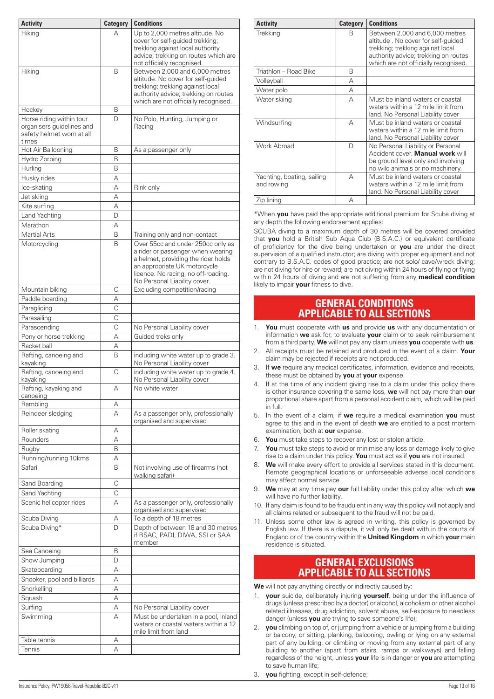<span id="page-12-0"></span>

| <b>Activity</b>                                                                             | <b>Category</b> | <b>Conditions</b>                                                                                                                                                                                                    |
|---------------------------------------------------------------------------------------------|-----------------|----------------------------------------------------------------------------------------------------------------------------------------------------------------------------------------------------------------------|
| Hiking                                                                                      | А               | Up to 2,000 metres altitude. No<br>cover for self-guided trekking;<br>trekking against local authority<br>advice; trekking on routes which are<br>not officially recognised.                                         |
| Hiking                                                                                      | B               | Between 2,000 and 6,000 metres<br>altitude. No cover for self-quided<br>trekking; trekking against local<br>authority advice; trekking on routes<br>which are not officially recognised.                             |
| Hockey                                                                                      | В               |                                                                                                                                                                                                                      |
| Horse riding within tour<br>organisers guidelines and<br>safety helmet worn at all<br>times | D               | No Polo, Hunting, Jumping or<br>Racing                                                                                                                                                                               |
| Hot Air Ballooning                                                                          | В               | As a passenger only                                                                                                                                                                                                  |
| Hydro Zorbing                                                                               | B               |                                                                                                                                                                                                                      |
| Hurling                                                                                     | B               |                                                                                                                                                                                                                      |
| Husky rides                                                                                 | А               |                                                                                                                                                                                                                      |
| Ice-skating                                                                                 | А               | Rink only                                                                                                                                                                                                            |
| Jet skiing                                                                                  | А               |                                                                                                                                                                                                                      |
| Kite surfing                                                                                | А               |                                                                                                                                                                                                                      |
| Land Yachting                                                                               | D               |                                                                                                                                                                                                                      |
| Marathon                                                                                    | А               |                                                                                                                                                                                                                      |
| Martial Arts                                                                                | B               | Training only and non-contact                                                                                                                                                                                        |
| Motorcycling                                                                                | B               | Over 55cc and under 250cc only as<br>a rider or passenger when wearing<br>a helmet, providing the rider holds<br>an appropriate UK motorcycle<br>licence. No racing, no off-roading.<br>No Personal Liability cover. |
| Mountain biking                                                                             | C               | Excluding competition/racing                                                                                                                                                                                         |
| Paddle boarding                                                                             | А               |                                                                                                                                                                                                                      |
| Paragliding                                                                                 | $\mathsf{C}$    |                                                                                                                                                                                                                      |
| Parasailing                                                                                 | C               |                                                                                                                                                                                                                      |
| Parascending                                                                                | C               | No Personal Liability cover                                                                                                                                                                                          |
| Pony or horse trekking                                                                      | А               | Guided treks only                                                                                                                                                                                                    |
| Racket ball                                                                                 | А               |                                                                                                                                                                                                                      |
| Rafting, canoeing and<br>kayaking                                                           | B               | including white water up to grade 3.<br>No Personal Liability cover                                                                                                                                                  |
| Rafting, canoeing and<br>kayaking                                                           | C               | including white water up to grade 4.<br>No Personal Liability cover                                                                                                                                                  |
| Rafting, kayaking and<br>canoeing                                                           | А               | No white water                                                                                                                                                                                                       |
| Rambling                                                                                    | А               |                                                                                                                                                                                                                      |
| Reindeer sledging                                                                           | А               | As a passenger only, professionally<br>organised and supervised                                                                                                                                                      |
| Roller skating                                                                              | А               |                                                                                                                                                                                                                      |
| Rounders                                                                                    | А               |                                                                                                                                                                                                                      |
| Rugby                                                                                       | B               |                                                                                                                                                                                                                      |
| Running/running 10kms                                                                       | А               |                                                                                                                                                                                                                      |
| Safari                                                                                      | B               | Not involving use of firearms (not<br>walking safari)                                                                                                                                                                |
| Sand Boarding                                                                               | С               |                                                                                                                                                                                                                      |
| Sand Yachting                                                                               | C               |                                                                                                                                                                                                                      |
| Scenic helicopter rides                                                                     | А               | As a passenger only, orofessionally<br>organised and supervised                                                                                                                                                      |
| Scuba Diving<br>Scuba Diving*                                                               | Α<br>D          | To a depth of 18 metres<br>Depth of between 18 and 30 metres<br>if BSAC, PADI, DIWA, SSI or SAA<br>member                                                                                                            |
| Sea Canoeing                                                                                | B               |                                                                                                                                                                                                                      |
| Show Jumping                                                                                | D               |                                                                                                                                                                                                                      |
| Skateboarding                                                                               | А               |                                                                                                                                                                                                                      |
| Snooker, pool and billiards                                                                 | А               |                                                                                                                                                                                                                      |
| Snorkelling                                                                                 | А               |                                                                                                                                                                                                                      |
| Squash                                                                                      | А               |                                                                                                                                                                                                                      |
| Surfing                                                                                     | А               | No Personal Liability cover                                                                                                                                                                                          |
| Swimming                                                                                    | А               | Must be undertaken in a pool, inland<br>waters or coastal waters within a 12<br>mile limit from land                                                                                                                 |
| Table tennis                                                                                | А               |                                                                                                                                                                                                                      |
| Tennis                                                                                      | А               |                                                                                                                                                                                                                      |

| <b>Activity</b>                          | <b>Category</b> | <b>Conditions</b>                                                                                                                                                                        |
|------------------------------------------|-----------------|------------------------------------------------------------------------------------------------------------------------------------------------------------------------------------------|
| <b>Trekking</b>                          | B               | Between 2,000 and 6,000 metres<br>altitude. No cover for self-quided<br>trekking; trekking against local<br>authority advice; trekking on routes<br>which are not officially recognised. |
| Triathlon - Road Bike                    | B               |                                                                                                                                                                                          |
| Volleyball                               | А               |                                                                                                                                                                                          |
| Water polo                               | А               |                                                                                                                                                                                          |
| Water skiing                             | А               | Must be inland waters or coastal<br>waters within a 12 mile limit from<br>land. No Personal Liability cover                                                                              |
| Windsurfing                              | А               | Must be inland waters or coastal<br>waters within a 12 mile limit from<br>land. No Personal Liability cover                                                                              |
| Work Abroad                              | D               | No Personal Liability or Personal<br>Accident cover. Manual work will<br>be ground level only and involving<br>no wild animals or no machinery.                                          |
| Yachting, boating, sailing<br>and rowing | А               | Must be inland waters or coastal<br>waters within a 12 mile limit from<br>land. No Personal Liability cover                                                                              |
| Zip lining                               | А               |                                                                                                                                                                                          |

\*When **you** have paid the appropriate additional premium for Scuba diving at any depth the following endorsement applies:

SCUBA diving to a maximum depth of 30 metres will be covered provided that **you** hold a British Sub Aqua Club (B.S.A.C.) or equivalent certificate of proficiency for the dive being undertaken or **you** are under the direct supervision of a qualified instructor; are diving with proper equipment and not contrary to B.S.A.C. codes of good practice; are not solo/ cave/wreck diving; are not diving for hire or reward; are not diving within 24 hours of flying or flying within 24 hours of diving and are not suffering from any **medical condition** likely to impair **your** fitness to dive.

## **GENERAL CONDITIONS APPLICABLE TO ALL SECTIONS**

- 1. **You** must cooperate with **us** and provide **us** with any documentation or information **we** ask for, to evaluate **your** claim or to seek reimbursement from a third party. **We** will not pay any claim unless **you** cooperate with **us**.
- 2. All receipts must be retained and produced in the event of a claim. **Your** claim may be rejected if receipts are not produced.
- 3. If **we** require any medical certificates, information, evidence and receipts, these must be obtained by **you** at **your** expense.
- 4. If at the time of any incident giving rise to a claim under this policy there is other insurance covering the same loss, **we** will not pay more than **our** proportional share apart from a personal accident claim, which will be paid in full.
- 5. In the event of a claim, if **we** require a medical examination **you** must agree to this and in the event of death **we** are entitled to a post mortem examination, both at **our** expense.
- 6. **You** must take steps to recover any lost or stolen article.
- 7. **You** must take steps to avoid or minimise any loss or damage likely to give rise to a claim under this policy. **You** must act as if **you** are not insured.
- 8. **We** will make every effort to provide all services stated in this document. Remote geographical locations or unforseeable adverse local conditions may affect normal service.
- 9. **We** may at any time pay **our** full liability under this policy after which **we** will have no further liability.
- 10. If any claim is found to be fraudulent in any way this policy will not apply and all claims related or subsequent to the fraud will not be paid.
- 11. Unless some other law is agreed in writing, this policy is governed by English law. If there is a dispute, it will only be dealt with in the courts of England or of the country within the **United Kingdom** in which **your** main residence is situated.

## **GENERAL EXCLUSIONS APPLICABLE TO ALL SECTIONS**

**We** will not pay anything directly or indirectly caused by:

- 1. **your** suicide, deliberately injuring **yourself**, being under the influence of drugs (unless prescribed by a doctor) or alcohol, alcoholism or other alcohol related illnesses, drug addiction, solvent abuse, self-exposure to needless danger (unless **you** are trying to save someone's life);
- 2. **you** climbing on top of, or jumping from a vehicle or jumping from a building or balcony, or sitting, planking, balconing, owling or lying on any external part of any building, or climbing or moving from any external part of any building to another (apart from stairs, ramps or walkways) and falling regardless of the height, unless **your** life is in danger or **you** are attempting to save human life;
- 3. **you** fighting, except in self-defence;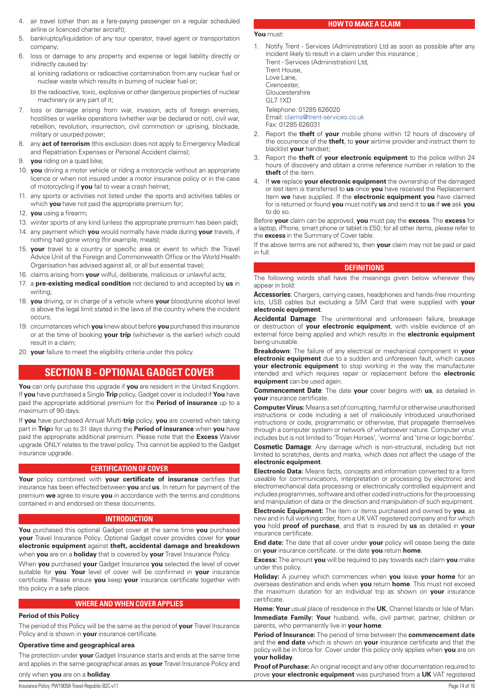- <span id="page-13-0"></span>4. air travel (other than as a fare-paying passenger on a regular scheduled airline or licenced charter aircraft);
- 5. bankruptcy/liquidation of any tour operator, travel agent or transportation company;
- 6. loss or damage to any property and expense or legal liability directly or indirectly caused by:
	- a) ionising radiations or radioactive contamination from any nuclear fuel or nuclear waste which results in burning of nuclear fuel or;
	- b) the radioactive, toxic, explosive or other dangerous properties of nuclear machinery or any part of it;
- 7. loss or damage arising from war, invasion, acts of foreign enemies, hostilities or warlike operations (whether war be declared or not), civil war, rebellion, revolution, insurrection, civil commotion or uprising, blockade, military or usurped power;
- 8. any **act of terrorism** (this exclusion does not apply to Emergency Medical and Repatriation Expenses or Personal Accident claims);
- 9. **you** riding on a quad bike;
- 10. **you** driving a motor vehicle or riding a motorcycle without an appropriate licence or when not insured under a motor insurance policy or in the case of motorcycling if **you** fail to wear a crash helmet;
- 11. any sports or activities not listed under the sports and activities tables or which **you** have not paid the appropriate premium for;
- 12. **you** using a firearm;
- 13. winter sports of any kind (unless the appropriate premium has been paid);
- 14. any payment which **you** would normally have made during **your** travels, if nothing had gone wrong (for example, meals);
- 15. **your** travel to a country or specific area or event to which the Travel Advice Unit of the Foreign and Commonwealth Office or the World Health Organisation has advised against all, or all but essential travel;
- 16. claims arising from **your** wilful, deliberate, malicious or unlawful acts;
- 17. a **pre-existing medical condition** not declared to and accepted by **us** in writing;
- 18. **you** driving, or in charge of a vehicle where **your** blood/urine alcohol level is above the legal limit stated in the laws of the country where the incident occurs;
- 19. circumstances which **you** knew about before **you** purchased this insurance or at the time of booking **your trip** (whichever is the earlier) which could result in a claim;
- 20. **your** failure to meet the eligibility criteria under this policy.

# **SECTION B - OPTIONAL GADGET COVER**

**You** can only purchase this upgrade if **you** are resident in the United Kingdom. If **you** have purchased a Single **Trip** policy, Gadget cover is included if **You** have paid the appropriate additional premium for the **Period of insurance** up to a maximum of 90 days.

If **you** have purchased Annual Multi-**trip** policy, **you** are covered when taking part in **Trip**s for up to 31 days during the **Period of insurance** when **you** have paid the appropriate additional premium. Please note that the **Excess** Waiver upgrade ONLY relates to the travel policy. This cannot be applied to the Gadget insurance upgrade.

## **CERTIFICATION OF COVER**

**Your** policy combined with **your certificate of insurance** certifies that insurance has been effected between **you** and **us**. In return for payment of the premium **we** agree to insure **you** in accordance with the terms and conditions contained in and endorsed on these documents.

## **INTRODUCTION**

**You** purchased this optional Gadget cover at the same time **you** purchased **your** Travel Insurance Policy. Optional Gadget cover provides cover for **your electronic equipment** against **theft, accidental damage and breakdown**  when **you** are on a **holiday** that is covered by **your** Travel Insurance Policy.

When **you** purchased **your** Gadget Insurance **you** selected the level of cover suitable for **you**. **Your** level of cover will be confirmed in **your** insurance certificate. Please ensure **you** keep **your** insurance certificate together with this policy in a safe place.

## **WHERE AND WHEN COVER APPLIES**

## **Period of this Policy**

The period of this Policy will be the same as the period of **your** Travel Insurance Policy and is shown in **your** insurance certificate.

## **Operative time and geographical area**

The protection under **your** Gadget Insurance starts and ends at the same time and applies in the same geographical areas as **your** Travel Insurance Policy and

# only when **you** are on a **holiday**.

## **HOW TO MAKE A CLAIM**

- **You** must:
- 1. Notify Trent Services (Administration) Ltd as soon as possible after any incident likely to result in a claim under this insurance ; Trent - Services (Administration) Ltd, Trent House, Love Lane, **Cirencester** Gloucestershire GL7 1XD Telephone: 01285 626020 Email: [claims@trent-services.co.uk](mailto:claims@trent-services.co.uk)

Fax: 01285 626031

- 2. Report the **theft** of **your** mobile phone within 12 hours of discovery of the occurrence of the **theft**, to **your** airtime provider and instruct them to blacklist **your** handset;
- 3. Report the **theft** of **your electronic equipment** to the police within 24 hours of discovery and obtain a crime reference number in relation to the **theft** of the item.
- 4. If **we** replace **your electronic equipment** the ownership of the damaged or lost item is transferred to **us** once **you** have received the Replacement Item **we** have supplied. If the **electronic equipment you** have claimed for is returned or found **you** must notify **us** and send it to **us** if **we** ask **you** to do so.

Before **your** claim can be approved, **you** must pay the **excess**. The **excess** for a laptop, iPhone, smart phone or tablet is £50; for all other items, please refer to the **excess** in the Summary of Cover table.

If the above terms are not adhered to, then **your** claim may not be paid or paid in full.

## **DEFINITIONS**

The following words shall have the meanings given below wherever they appear in bold:

**Accessories**: Chargers, carrying cases, headphones and hands-free mounting kits, USB cables but excluding a SIM Card that were supplied with **your electronic equipment**.

**Accidental Damage**: The unintentional and unforeseen failure, breakage or destruction of **your electronic equipment**, with visible evidence of an external force being applied and which results in the **electronic equipment** being unusable.

**Breakdown**: The failure of any electrical or mechanical component in **your electronic equipment** due to a sudden and unforeseen fault, which causes **your electronic equipment** to stop working in the way the manufacturer intended and which requires repair or replacement before the **electronic equipment** can be used again.

**Commencement Date**: The date **your** cover begins with **us**, as detailed in **your** insurance certificate.

**Computer Virus:** Means a set of corrupting, harmful or otherwise unauthorised instructions or code including a set of maliciously introduced unauthorised instructions or code, programmatic or otherwise, that propagate themselves through a computer system or network of whatsoever nature. Computer virus includes but is not limited to 'Trojan Horses', 'worms' and 'time or logic bombs'.

**Cosmetic Damage**: Any damage which is non-structural, including but not limited to scratches, dents and marks, which does not affect the usage of the **electronic equipment**.

**Electronic Data:** Means facts, concepts and information converted to a form useable for communications, interpretation or processing by electronic and electromechanical data processing or electronically controlled equipment and includes programmes, software and other coded instructions for the processing and manipulation of data or the direction and manipulation of such equipment.

**Electronic Equipment:** The item or items purchased and owned by **you**, as new and in full working order, from a UK VAT registered company and for which **you** hold **proof of purchase**, and that is insured by **us** as detailed in **your** insurance certificate.

**End date:** The date that all cover under **your** policy will cease being the date on **your** insurance certificate. or the date **you** return **home**.

**Excess:** The amount **you** will be required to pay towards each claim **you** make under this policy.

**Holiday:** A journey which commences when **you** leave **your home** for an overseas destination and ends when **you** return **home**. This must not exceed the maximum duration for an individual trip as shown on **your** insurance certificate.

**Home: Your** usual place of residence in the **UK**, Channel Islands or Isle of Man. **Immediate Family: Your** husband, wife, civil partner, partner, children or parents, who permanently live in **your home**.

**Period of Insurance:** The period of time between the **commencement date** and the **end date** which is shown on **your** insurance certificate and that the policy will be in force for. Cover under this policy only applies when **you** are on **your holiday**.

**Proof of Purchase:** An original receipt and any other documentation required to prove **your electronic equipment** was purchased from a **UK** VAT registered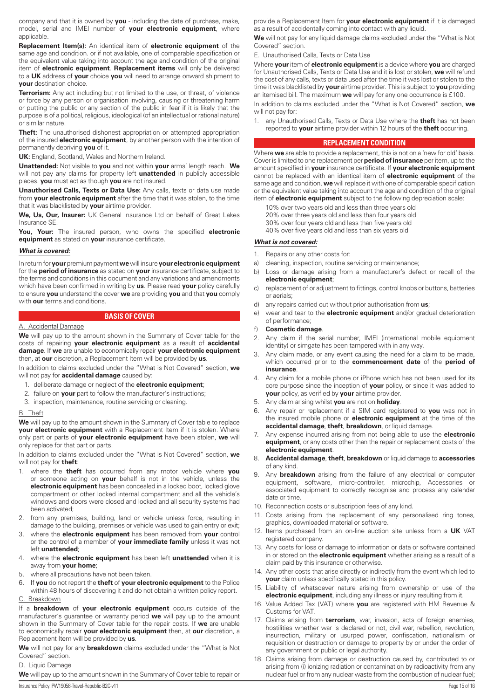company and that it is owned by **you** - including the date of purchase, make, model, serial and IMEI number of **your electronic equipment**, where applicable.

**Replacement Item(s):** An identical item of **electronic equipment** of the same age and condition. or if not available, one of comparable specification or the equivalent value taking into account the age and condition of the original item of **electronic equipment**. **Replacement items** will only be delivered to a **UK** address of **your** choice **you** will need to arrange onward shipment to **your** destination choice.

**Terrorism:** Any act including but not limited to the use, or threat, of violence or force by any person or organisation involving, causing or threatening harm or putting the public or any section of the public in fear if it is likely that the purpose is of a political, religious, ideological (of an intellectual or rational nature) or similar nature.

**Theft:** The unauthorised dishonest appropriation or attempted appropriation of the insured **electronic equipment**, by another person with the intention of permanently depriving **you** of it.

**UK:** England, Scotland, Wales and Northern Ireland.

**Unattended:** Not visible to **you** and not within **your** arms' length reach. **We** will not pay any claims for property left **unattended** in publicly accessible places. **you** must act as though **you** are not insured.

**Unauthorised Calls, Texts or Data Use:** Any calls, texts or data use made from **your electronic equipment** after the time that it was stolen, to the time that it was blacklisted by **your** airtime provider.

**We, Us, Our, Insurer:** UK General Insurance Ltd on behalf of Great Lakes Insurance SE.

**You, Your:** The insured person, who owns the specified **electronic equipment** as stated on **your** insurance certificate.

## *What is covered:*

In return for **your** premium payment **we** will insure **yourelectronic equipment** for the **period of insurance** as stated on **your** insurance certificate, subject to the terms and conditions in this document and any variations and amendments which have been confirmed in writing by **us**. Please read **your** policy carefully to ensure **you** understand the cover **we** are providing **you** and that **you** comply with **our** terms and conditions.

## **BASIS OF COVER**

#### A. Accidental Damage

**We** will pay up to the amount shown in the Summary of Cover table for the costs of repairing **your electronic equipment** as a result of **accidental damage**. If **we** are unable to economically repair **your electronic equipment** then, at **our** discretion, a Replacement Item will be provided by **us**.

In addition to claims excluded under the "What is Not Covered" section, **we** will not pay for **accidental damage** caused by:

- 1. deliberate damage or neglect of the **electronic equipment**;
- 2. failure on **your** part to follow the manufacturer's instructions;
- 3. inspection, maintenance, routine servicing or cleaning.

## B. Theft

**We** will pay up to the amount shown in the Summary of Cover table to replace **your electronic equipment** with a Replacement Item if it is stolen. Where only part or parts of **your electronic equipment** have been stolen, **we** will only replace for that part or parts.

In addition to claims excluded under the "What is Not Covered" section, **we** will not pay for **theft**:

- 1. where the **theft** has occurred from any motor vehicle where **you** or someone acting on **your** behalf is not in the vehicle, unless the **electronic equipment** has been concealed in a locked boot, locked glove compartment or other locked internal compartment and all the vehicle's windows and doors were closed and locked and all security systems had been activated;
- 2. from any premises, building, land or vehicle unless force, resulting in damage to the building, premises or vehicle was used to gain entry or exit;
- 3. where the **electronic equipment** has been removed from **your** control or the control of a member of **your immediate family** unless it was not left **unattended**;
- 4. where the **electronic equipment** has been left **unattended** when it is away from **your home**;
- 5. where all precautions have not been taken.
- 6. If **you** do not report the **theft** of **your electronic equipment** to the Police within 48 hours of discovering it and do not obtain a written policy report.

## C. Breakdown

If a **breakdown** of **your electronic equipment** occurs outside of the manufacturer's guarantee or warranty period **we** will pay up to the amount shown in the Summary of Cover table for the repair costs. If **we** are unable to economically repair **your electronic equipment** then, at **our** discretion, a Replacement Item will be provided by **us**.

**We** will not pay for any **breakdown** claims excluded under the "What is Not Covered" section.

## D. Liquid Damage

**We** will pay up to the amount shown in the Summary of Cover table to repair or

**We** will not pay for any liquid damage claims excluded under the "What is Not Covered" section.

#### **Unauthorised Calls, Texts or Data Use**

Where **your** item of **electronic equipment** is a device where **you** are charged for Unauthorised Calls, Texts or Data Use and it is lost or stolen, **we** will refund the cost of any calls, texts or data used after the time it was lost or stolen to the time it was blacklisted by **your** airtime provider. This is subject to **you** providing an itemised bill. The maximum **we** will pay for any one occurrence is £100.

In addition to claims excluded under the "What is Not Covered" section, **we** will not pay for:

1. any Unauthorised Calls, Texts or Data Use where the **theft** has not been reported to **your** airtime provider within 12 hours of the **theft** occurring.

## **REPLACEMENT CONDITION**

Where **we** are able to provide a replacement, this is not on a 'new for old' basis. Cover is limited to one replacement per **period of insurance** per item, up to the amount specified in **your** insurance certificate. If **your electronic equipment** cannot be replaced with an identical item of **electronic equipment** of the same age and condition, **we** will replace it with one of comparable specification or the equivalent value taking into account the age and condition of the original item of **electronic equipment** subject to the following depreciation scale:

- 10% over two years old and less than three years old
- 20% over three years old and less than four years old
- 30% over four years old and less than five years old
- 40% over five years old and less than six years old

## *What is not covered:*

- 1. Repairs or any other costs for:
- a) cleaning, inspection, routine servicing or maintenance;
- b) Loss or damage arising from a manufacturer's defect or recall of the **electronic equipment**;
- c) replacement of or adjustment to fittings, control knobs or buttons, batteries or aerials;
- d) any repairs carried out without prior authorisation from **us**;
- e) wear and tear to the **electronic equipment** and/or gradual deterioration of performance;
- f) **Cosmetic damage**.
- 2. Any claim if the serial number, IMEI (international mobile equipment identity) or simgate has been tampered with in any way.
- 3. Any claim made, or any event causing the need for a claim to be made, which occurred prior to the **commencement date** of the **period of insurance**.
- 4. Any claim for a mobile phone or iPhone which has not been used for its core purpose since the inception of **your** policy, or since it was added to **your** policy, as verified by **your** airtime provider.
- 5. Any claim arising whilst **you** are not on **holiday**.
- 6. Any repair or replacement if a SIM card registered to **you** was not in the insured mobile phone or **electronic equipment** at the time of the **accidental damage**, **theft**, **breakdown**, or liquid damage.
- 7. Any expense incurred arising from not being able to use the **electronic equipment**, or any costs other than the repair or replacement costs of the **electronic equipment**.
- 8. **Accidental damage**, **theft**, **breakdown** or liquid damage to **accessories** of any kind.
- Any **breakdown** arising from the failure of any electrical or computer equipment, software, micro-controller, microchip, Accessories or associated equipment to correctly recognise and process any calendar date or time.
- 10. Reconnection costs or subscription fees of any kind.
- 11. Costs arising from the replacement of any personalised ring tones, graphics, downloaded material or software.
- 12. Items purchased from an on-line auction site unless from a **UK** VAT registered company.
- 13. Any costs for loss or damage to information or data or software contained in or stored on the **electronic equipment** whether arising as a result of a claim paid by this insurance or otherwise.
- 14. Any other costs that arise directly or indirectly from the event which led to **your** claim unless specifically stated in this policy.
- 15. Liability of whatsoever nature arising from ownership or use of the **electronic equipment**, including any illness or injury resulting from it.
- 16. Value Added Tax (VAT) where **you** are registered with HM Revenue & Customs for VAT.
- 17. Claims arising from **terrorism**, war, invasion, acts of foreign enemies, hostilities whether war is declared or not, civil war, rebellion, revolution, insurrection, military or usurped power, confiscation, nationalism or requisition or destruction or damage to property by or under the order of any government or public or legal authority.
- 18. Claims arising from damage or destruction caused by, contributed to or arising from (i) ionizing radiation or contamination by radioactivity from any nuclear fuel or from any nuclear waste from the combustion of nuclear fuel;